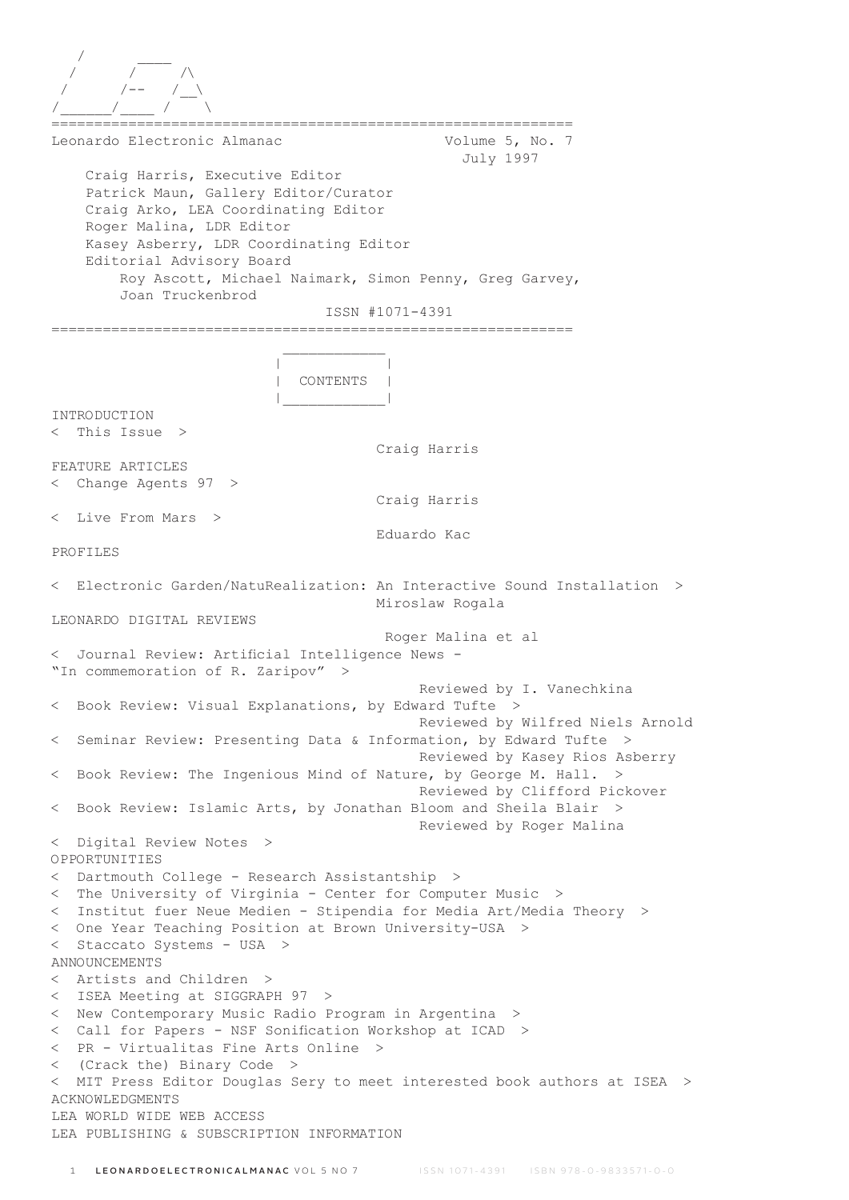| Leonardo Electronic Almanac                                                                                                                                                                                     | Volume 5, No. 7<br>July 1997                                                              |
|-----------------------------------------------------------------------------------------------------------------------------------------------------------------------------------------------------------------|-------------------------------------------------------------------------------------------|
| Craig Harris, Executive Editor<br>Patrick Maun, Gallery Editor/Curator<br>Craig Arko, LEA Coordinating Editor<br>Roger Malina, LDR Editor<br>Kasey Asberry, LDR Coordinating Editor<br>Editorial Advisory Board |                                                                                           |
| Roy Ascott, Michael Naimark, Simon Penny, Greg Garvey,<br>Joan Truckenbrod                                                                                                                                      |                                                                                           |
|                                                                                                                                                                                                                 | ISSN #1071-4391                                                                           |
|                                                                                                                                                                                                                 | -------------------------                                                                 |
| CONTENTS                                                                                                                                                                                                        |                                                                                           |
| INTRODUCTION                                                                                                                                                                                                    |                                                                                           |
| This Issue $>$<br>$\lt$                                                                                                                                                                                         |                                                                                           |
|                                                                                                                                                                                                                 | Craig Harris                                                                              |
| FEATURE ARTICLES<br>< Change Agents 97<br>>                                                                                                                                                                     |                                                                                           |
|                                                                                                                                                                                                                 | Craig Harris                                                                              |
| Live From Mars<br>$\lt$<br>$\geq$                                                                                                                                                                               |                                                                                           |
|                                                                                                                                                                                                                 | Eduardo Kac                                                                               |
| PROFILES                                                                                                                                                                                                        |                                                                                           |
| $\lt$                                                                                                                                                                                                           | Electronic Garden/NatuRealization: An Interactive Sound Installation ><br>Miroslaw Rogala |
| LEONARDO DIGITAL REVIEWS                                                                                                                                                                                        |                                                                                           |
|                                                                                                                                                                                                                 | Roger Malina et al                                                                        |
| Journal Review: Artificial Intelligence News -<br>"In commemoration of R. Zaripov"<br>$\rm{>}$                                                                                                                  |                                                                                           |
|                                                                                                                                                                                                                 | Reviewed by I. Vanechkina                                                                 |
| < Book Review: Visual Explanations, by Edward Tufte >                                                                                                                                                           | Reviewed by Wilfred Niels Arnold                                                          |
| < Seminar Review: Presenting Data & Information, by Edward Tufte                                                                                                                                                | $\rightarrow$<br>Reviewed by Kasey Rios Asberry                                           |
| < Book Review: The Ingenious Mind of Nature, by George M. Hall.                                                                                                                                                 | ><br>Reviewed by Clifford Pickover                                                        |
| < Book Review: Islamic Arts, by Jonathan Bloom and Sheila Blair >                                                                                                                                               | Reviewed by Roger Malina                                                                  |
| Digital Review Notes ><br>$\lt$                                                                                                                                                                                 |                                                                                           |
| OPPORTUNITIES                                                                                                                                                                                                   |                                                                                           |
| Dartmouth College - Research Assistantship ><br>$\lt$                                                                                                                                                           |                                                                                           |
| The University of Virginia - Center for Computer Music ><br>$\lt$<br>Institut fuer Neue Medien - Stipendia for Media Art/Media Theory ><br>$\lt$                                                                |                                                                                           |
| < One Year Teaching Position at Brown University-USA >                                                                                                                                                          |                                                                                           |
| Staccato Systems - USA ><br>$\lt$                                                                                                                                                                               |                                                                                           |
| <b>ANNOUNCEMENTS</b>                                                                                                                                                                                            |                                                                                           |
| Artists and Children ><br>$\lt$                                                                                                                                                                                 |                                                                                           |
| ISEA Meeting at SIGGRAPH 97 ><br>$\lt$<br>New Contemporary Music Radio Program in Argentina >                                                                                                                   |                                                                                           |
| $\lt$<br>Call for Papers - NSF Sonification Workshop at ICAD ><br>$\lt$                                                                                                                                         |                                                                                           |
| < PR - Virtualitas Fine Arts Online >                                                                                                                                                                           |                                                                                           |
| < (Crack the) Binary Code >                                                                                                                                                                                     |                                                                                           |
| $\lt$                                                                                                                                                                                                           | MIT Press Editor Douglas Sery to meet interested book authors at ISEA >                   |
| <b>ACKNOWLEDGMENTS</b><br>LEA WORLD WIDE WEB ACCESS                                                                                                                                                             |                                                                                           |
| LEA PUBLISHING & SUBSCRIPTION INFORMATION                                                                                                                                                                       |                                                                                           |
|                                                                                                                                                                                                                 |                                                                                           |
| LEONARDOELECTRONICALMANAC VOL 5 NO 7<br>$\mathbf{1}$                                                                                                                                                            | ISSN 1071-4391 ISBN 978-0-9833571-0-0                                                     |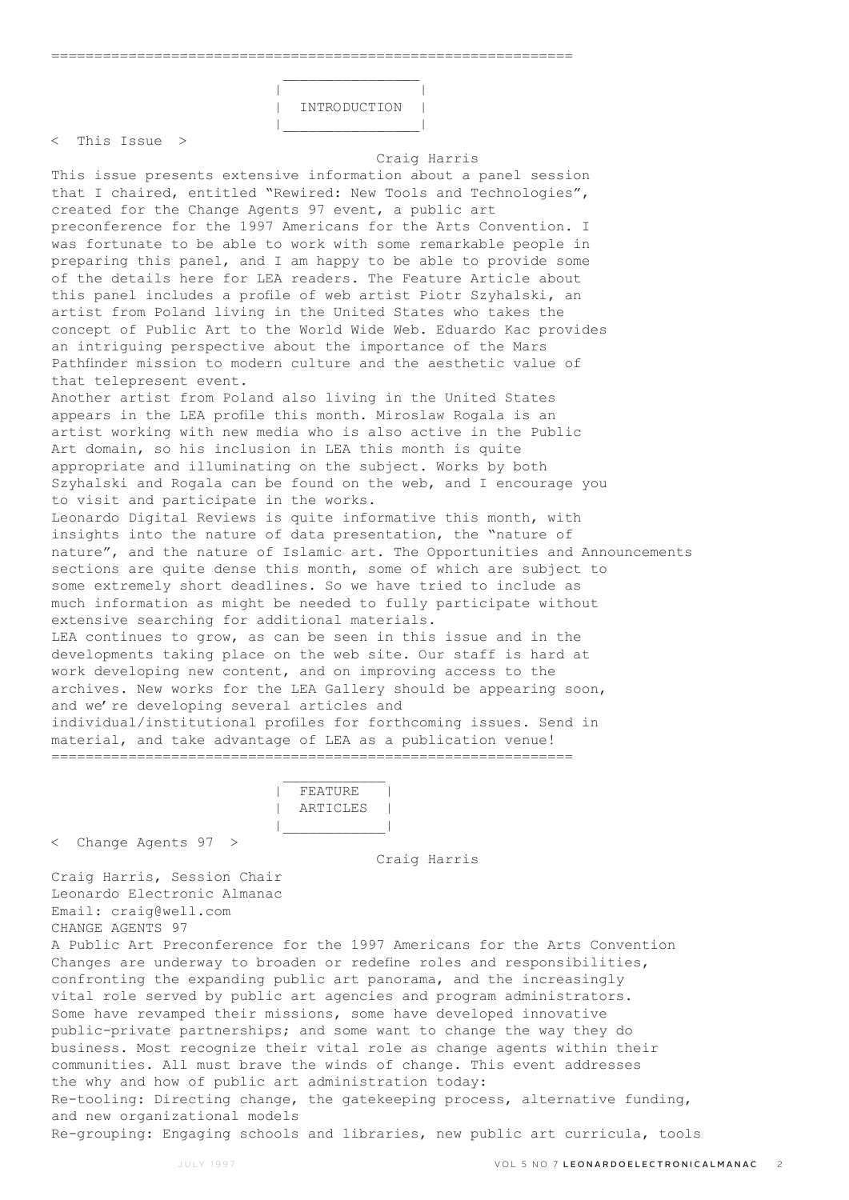$\mathcal{L}_\text{max}$  and  $\mathcal{L}_\text{max}$  are the set of  $\mathcal{L}_\text{max}$  . The set of  $\mathcal{L}_\text{max}$ 



< This Issue >

#### Craig Harris

This issue presents extensive information about a panel session that I chaired, entitled "Rewired: New Tools and Technologies", created for the Change Agents 97 event, a public art preconference for the 1997 Americans for the Arts Convention. I was fortunate to be able to work with some remarkable people in preparing this panel, and I am happy to be able to provide some of the details here for LEA readers. The Feature Article about this panel includes a profile of web artist Piotr Szyhalski, an artist from Poland living in the United States who takes the concept of Public Art to the World Wide Web. Eduardo Kac provides an intriguing perspective about the importance of the Mars Pathfinder mission to modern culture and the aesthetic value of that telepresent event. Another artist from Poland also living in the United States appears in the LEA profile this month. Miroslaw Rogala is an artist working with new media who is also active in the Public Art domain, so his inclusion in LEA this month is quite appropriate and illuminating on the subject. Works by both Szyhalski and Rogala can be found on the web, and I encourage you to visit and participate in the works. Leonardo Digital Reviews is quite informative this month, with insights into the nature of data presentation, the "nature of nature", and the nature of Islamic art. The Opportunities and Announcements sections are quite dense this month, some of which are subject to some extremely short deadlines. So we have tried to include as much information as might be needed to fully participate without extensive searching for additional materials. LEA continues to grow, as can be seen in this issue and in the developments taking place on the web site. Our staff is hard at work developing new content, and on improving access to the archives. New works for the LEA Gallery should be appearing soon, and we're developing several articles and individual/institutional profiles for forthcoming issues. Send in material, and take advantage of LEA as a publication venue! =============================================================

 $\overline{F}$ FEATURE | ARTICLES | |\_\_\_\_\_\_\_\_\_\_\_\_|

< Change Agents 97 >

Craig Harris

Craig Harris, Session Chair Leonardo Electronic Almanac Email: craig@well.com CHANGE AGENTS 97

 $\mathcal{L}_\text{max}$  and  $\mathcal{L}_\text{max}$  and  $\mathcal{L}_\text{max}$  and  $\mathcal{L}_\text{max}$ 

A Public Art Preconference for the 1997 Americans for the Arts Convention Changes are underway to broaden or redefine roles and responsibilities, confronting the expanding public art panorama, and the increasingly vital role served by public art agencies and program administrators. Some have revamped their missions, some have developed innovative public-private partnerships; and some want to change the way they do business. Most recognize their vital role as change agents within their communities. All must brave the winds of change. This event addresses the why and how of public art administration today: Re-tooling: Directing change, the gatekeeping process, alternative funding, and new organizational models Re-grouping: Engaging schools and libraries, new public art curricula, tools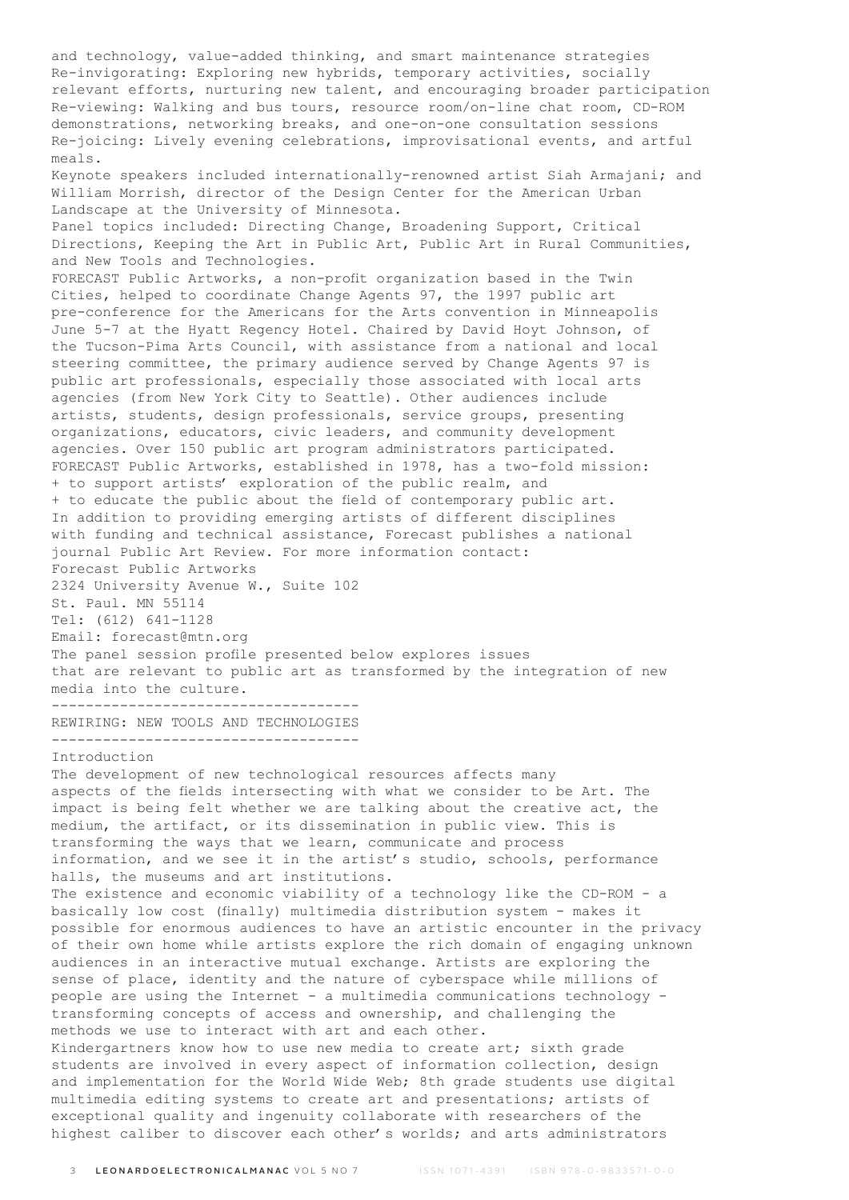and technology, value-added thinking, and smart maintenance strategies Re-invigorating: Exploring new hybrids, temporary activities, socially relevant efforts, nurturing new talent, and encouraging broader participation Re-viewing: Walking and bus tours, resource room/on-line chat room, CD-ROM demonstrations, networking breaks, and one-on-one consultation sessions Re-joicing: Lively evening celebrations, improvisational events, and artful meals. Keynote speakers included internationally-renowned artist Siah Armajani; and William Morrish, director of the Design Center for the American Urban Landscape at the University of Minnesota. Panel topics included: Directing Change, Broadening Support, Critical Directions, Keeping the Art in Public Art, Public Art in Rural Communities, and New Tools and Technologies. FORECAST Public Artworks, a non-profit organization based in the Twin Cities, helped to coordinate Change Agents 97, the 1997 public art pre-conference for the Americans for the Arts convention in Minneapolis June 5-7 at the Hyatt Regency Hotel. Chaired by David Hoyt Johnson, of the Tucson-Pima Arts Council, with assistance from a national and local steering committee, the primary audience served by Change Agents 97 is public art professionals, especially those associated with local arts agencies (from New York City to Seattle). Other audiences include artists, students, design professionals, service groups, presenting organizations, educators, civic leaders, and community development agencies. Over 150 public art program administrators participated. FORECAST Public Artworks, established in 1978, has a two-fold mission: + to support artists' exploration of the public realm, and + to educate the public about the field of contemporary public art. In addition to providing emerging artists of different disciplines with funding and technical assistance, Forecast publishes a national journal Public Art Review. For more information contact: Forecast Public Artworks 2324 University Avenue W., Suite 102 St. Paul. MN 55114 Tel: (612) 641-1128 Email: forecast@mtn.org The panel session profile presented below explores issues that are relevant to public art as transformed by the integration of new media into the culture. ------------------------------------ REWIRING: NEW TOOLS AND TECHNOLOGIES ------------------------------------ Introduction The development of new technological resources affects many aspects of the fields intersecting with what we consider to be Art. The impact is being felt whether we are talking about the creative act, the medium, the artifact, or its dissemination in public view. This is transforming the ways that we learn, communicate and process information, and we see it in the artist's studio, schools, performance halls, the museums and art institutions. The existence and economic viability of a technology like the CD-ROM - a basically low cost (finally) multimedia distribution system - makes it possible for enormous audiences to have an artistic encounter in the privacy of their own home while artists explore the rich domain of engaging unknown audiences in an interactive mutual exchange. Artists are exploring the sense of place, identity and the nature of cyberspace while millions of people are using the Internet - a multimedia communications technology transforming concepts of access and ownership, and challenging the methods we use to interact with art and each other. Kindergartners know how to use new media to create art; sixth grade

students are involved in every aspect of information collection, design and implementation for the World Wide Web; 8th grade students use digital multimedia editing systems to create art and presentations; artists of exceptional quality and ingenuity collaborate with researchers of the highest caliber to discover each other's worlds; and arts administrators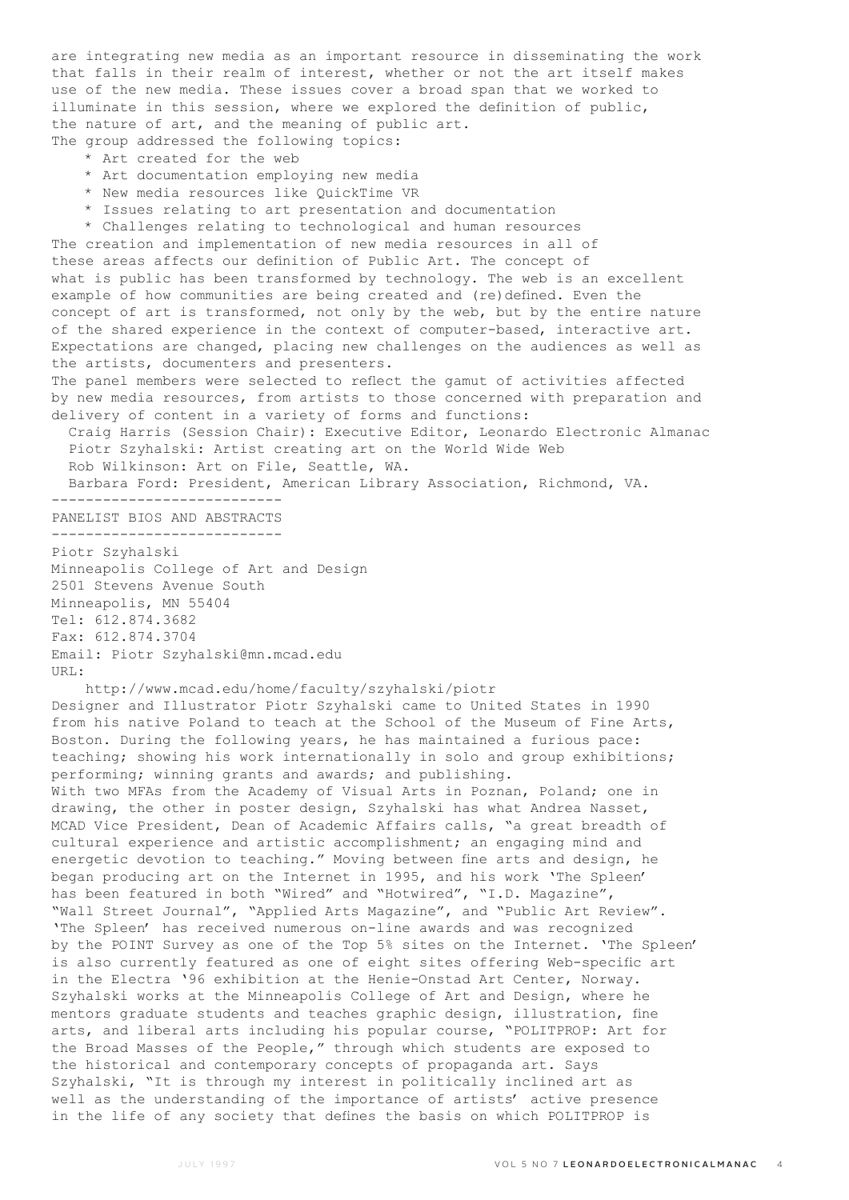are integrating new media as an important resource in disseminating the work that falls in their realm of interest, whether or not the art itself makes use of the new media. These issues cover a broad span that we worked to illuminate in this session, where we explored the definition of public, the nature of art, and the meaning of public art. The group addressed the following topics:

- \* Art created for the web
- \* Art documentation employing new media
- \* New media resources like QuickTime VR
- \* Issues relating to art presentation and documentation

 \* Challenges relating to technological and human resources The creation and implementation of new media resources in all of these areas affects our definition of Public Art. The concept of what is public has been transformed by technology. The web is an excellent example of how communities are being created and (re)defined. Even the concept of art is transformed, not only by the web, but by the entire nature of the shared experience in the context of computer-based, interactive art. Expectations are changed, placing new challenges on the audiences as well as the artists, documenters and presenters.

The panel members were selected to reflect the gamut of activities affected by new media resources, from artists to those concerned with preparation and delivery of content in a variety of forms and functions:

 Craig Harris (Session Chair): Executive Editor, Leonardo Electronic Almanac Piotr Szyhalski: Artist creating art on the World Wide Web Rob Wilkinson: Art on File, Seattle, WA.

Barbara Ford: President, American Library Association, Richmond, VA.

---------------------------

PANELIST BIOS AND ABSTRACTS --------------------------- Piotr Szyhalski Minneapolis College of Art and Design 2501 Stevens Avenue South Minneapolis, MN 55404 Tel: 612.874.3682 Fax: 612.874.3704 Email: Piotr Szyhalski@mn.mcad.edu URL:

 http://www.mcad.edu/home/faculty/szyhalski/piotr Designer and Illustrator Piotr Szyhalski came to United States in 1990 from his native Poland to teach at the School of the Museum of Fine Arts, Boston. During the following years, he has maintained a furious pace: teaching; showing his work internationally in solo and group exhibitions; performing; winning grants and awards; and publishing. With two MFAs from the Academy of Visual Arts in Poznan, Poland; one in drawing, the other in poster design, Szyhalski has what Andrea Nasset, MCAD Vice President, Dean of Academic Affairs calls, "a great breadth of cultural experience and artistic accomplishment; an engaging mind and energetic devotion to teaching." Moving between fine arts and design, he began producing art on the Internet in 1995, and his work 'The Spleen' has been featured in both "Wired" and "Hotwired", "I.D. Magazine", "Wall Street Journal", "Applied Arts Magazine", and "Public Art Review". 'The Spleen' has received numerous on-line awards and was recognized by the POINT Survey as one of the Top 5% sites on the Internet. 'The Spleen' is also currently featured as one of eight sites offering Web-specific art in the Electra '96 exhibition at the Henie-Onstad Art Center, Norway. Szyhalski works at the Minneapolis College of Art and Design, where he mentors graduate students and teaches graphic design, illustration, fine arts, and liberal arts including his popular course, "POLITPROP: Art for the Broad Masses of the People," through which students are exposed to the historical and contemporary concepts of propaganda art. Says Szyhalski, "It is through my interest in politically inclined art as well as the understanding of the importance of artists' active presence in the life of any society that defines the basis on which POLITPROP is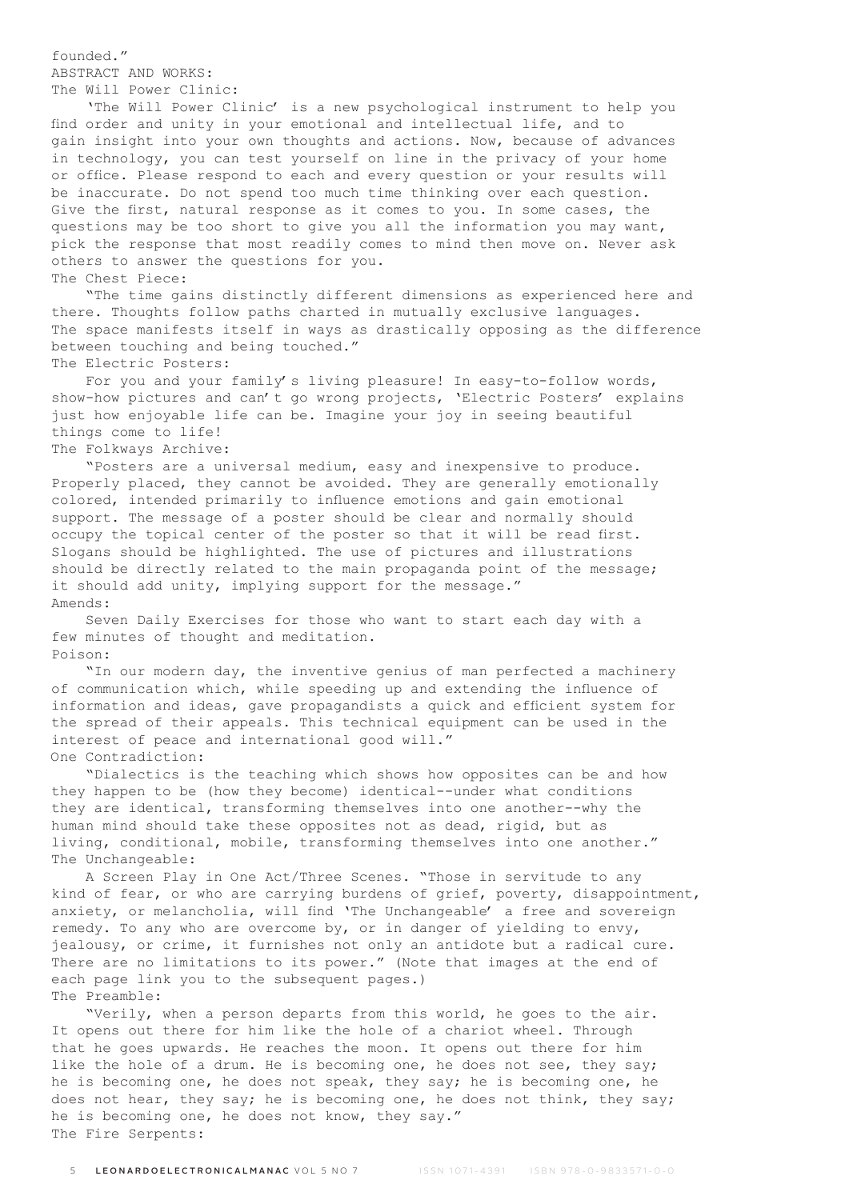founded."

ABSTRACT AND WORKS:

The Will Power Clinic:

 'The Will Power Clinic' is a new psychological instrument to help you find order and unity in your emotional and intellectual life, and to gain insight into your own thoughts and actions. Now, because of advances in technology, you can test yourself on line in the privacy of your home or office. Please respond to each and every question or your results will be inaccurate. Do not spend too much time thinking over each question. Give the first, natural response as it comes to you. In some cases, the questions may be too short to give you all the information you may want, pick the response that most readily comes to mind then move on. Never ask others to answer the questions for you. The Chest Piece:

 "The time gains distinctly different dimensions as experienced here and there. Thoughts follow paths charted in mutually exclusive languages. The space manifests itself in ways as drastically opposing as the difference between touching and being touched." The Electric Posters:

 For you and your family's living pleasure! In easy-to-follow words, show-how pictures and can't go wrong projects, 'Electric Posters' explains just how enjoyable life can be. Imagine your joy in seeing beautiful things come to life!

# The Folkways Archive:

 "Posters are a universal medium, easy and inexpensive to produce. Properly placed, they cannot be avoided. They are generally emotionally colored, intended primarily to influence emotions and gain emotional support. The message of a poster should be clear and normally should occupy the topical center of the poster so that it will be read first. Slogans should be highlighted. The use of pictures and illustrations should be directly related to the main propaganda point of the message; it should add unity, implying support for the message." Amends:

 Seven Daily Exercises for those who want to start each day with a few minutes of thought and meditation. Poison:

 "In our modern day, the inventive genius of man perfected a machinery of communication which, while speeding up and extending the influence of information and ideas, gave propagandists a quick and efficient system for the spread of their appeals. This technical equipment can be used in the interest of peace and international good will." One Contradiction:

 "Dialectics is the teaching which shows how opposites can be and how they happen to be (how they become) identical--under what conditions they are identical, transforming themselves into one another--why the human mind should take these opposites not as dead, rigid, but as living, conditional, mobile, transforming themselves into one another." The Unchangeable:

 A Screen Play in One Act/Three Scenes. "Those in servitude to any kind of fear, or who are carrying burdens of grief, poverty, disappointment, anxiety, or melancholia, will find 'The Unchangeable' a free and sovereign remedy. To any who are overcome by, or in danger of yielding to envy, jealousy, or crime, it furnishes not only an antidote but a radical cure. There are no limitations to its power." (Note that images at the end of each page link you to the subsequent pages.) The Preamble:

 "Verily, when a person departs from this world, he goes to the air. It opens out there for him like the hole of a chariot wheel. Through that he goes upwards. He reaches the moon. It opens out there for him like the hole of a drum. He is becoming one, he does not see, they say; he is becoming one, he does not speak, they say; he is becoming one, he does not hear, they say; he is becoming one, he does not think, they say; he is becoming one, he does not know, they say." The Fire Serpents: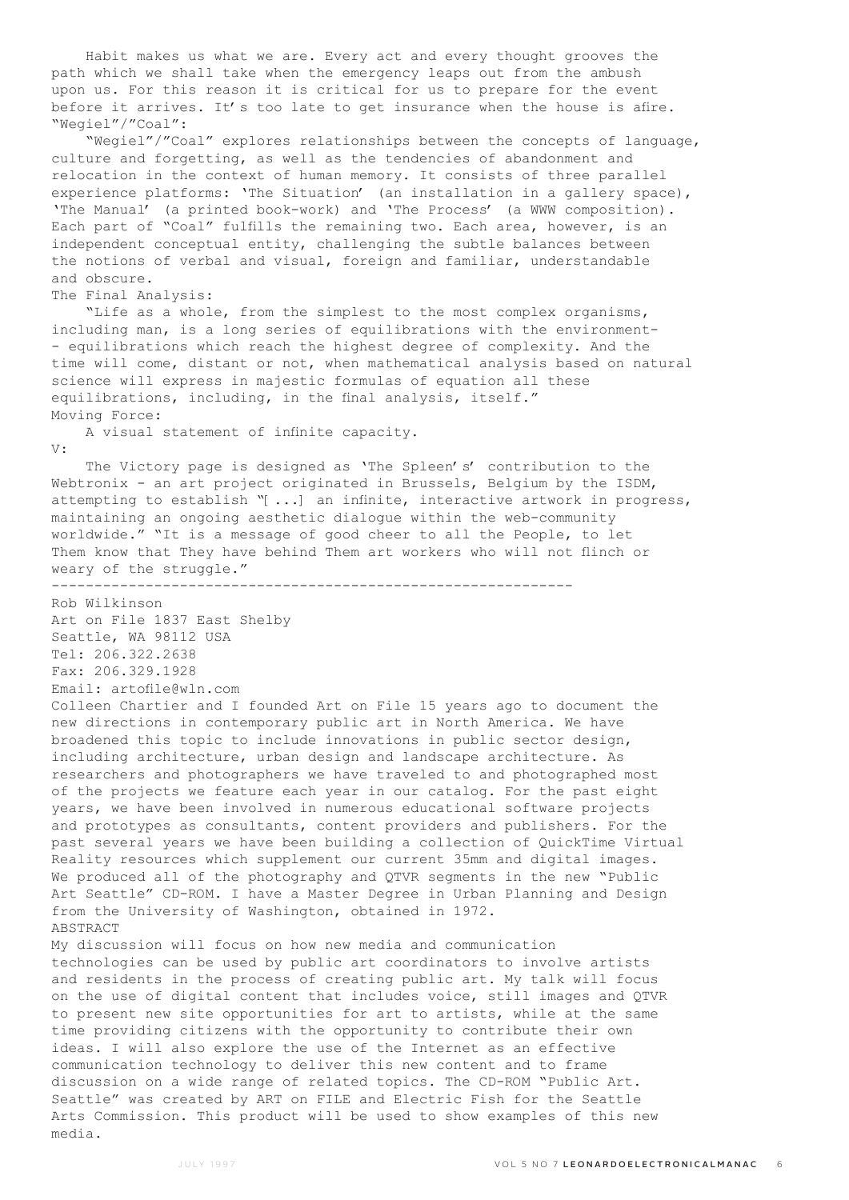Habit makes us what we are. Every act and every thought grooves the path which we shall take when the emergency leaps out from the ambush upon us. For this reason it is critical for us to prepare for the event before it arrives. It's too late to get insurance when the house is afire. "Wegiel"/"Coal":

 "Wegiel"/"Coal" explores relationships between the concepts of language, culture and forgetting, as well as the tendencies of abandonment and relocation in the context of human memory. It consists of three parallel experience platforms: 'The Situation' (an installation in a gallery space), 'The Manual' (a printed book-work) and 'The Process' (a WWW composition). Each part of "Coal" fulfills the remaining two. Each area, however, is an independent conceptual entity, challenging the subtle balances between the notions of verbal and visual, foreign and familiar, understandable and obscure.

## The Final Analysis:

 "Life as a whole, from the simplest to the most complex organisms, including man, is a long series of equilibrations with the environment- - equilibrations which reach the highest degree of complexity. And the time will come, distant or not, when mathematical analysis based on natural science will express in majestic formulas of equation all these equilibrations, including, in the final analysis, itself." Moving Force:

 A visual statement of infinite capacity. V:

 The Victory page is designed as 'The Spleen's' contribution to the Webtronix - an art project originated in Brussels, Belgium by the ISDM, attempting to establish "[...] an infinite, interactive artwork in progress, maintaining an ongoing aesthetic dialogue within the web-community worldwide." "It is a message of good cheer to all the People, to let Them know that They have behind Them art workers who will not flinch or weary of the struggle."

-------------------------------------------------------------

Rob Wilkinson Art on File 1837 East Shelby Seattle, WA 98112 USA Tel: 206.322.2638 Fax: 206.329.1928 Email: artofile@wln.com

Colleen Chartier and I founded Art on File 15 years ago to document the new directions in contemporary public art in North America. We have broadened this topic to include innovations in public sector design, including architecture, urban design and landscape architecture. As researchers and photographers we have traveled to and photographed most of the projects we feature each year in our catalog. For the past eight years, we have been involved in numerous educational software projects and prototypes as consultants, content providers and publishers. For the past several years we have been building a collection of QuickTime Virtual Reality resources which supplement our current 35mm and digital images. We produced all of the photography and QTVR segments in the new "Public Art Seattle" CD-ROM. I have a Master Degree in Urban Planning and Design from the University of Washington, obtained in 1972. ABSTRACT

My discussion will focus on how new media and communication technologies can be used by public art coordinators to involve artists and residents in the process of creating public art. My talk will focus on the use of digital content that includes voice, still images and QTVR to present new site opportunities for art to artists, while at the same time providing citizens with the opportunity to contribute their own ideas. I will also explore the use of the Internet as an effective communication technology to deliver this new content and to frame discussion on a wide range of related topics. The CD-ROM "Public Art. Seattle" was created by ART on FILE and Electric Fish for the Seattle Arts Commission. This product will be used to show examples of this new media.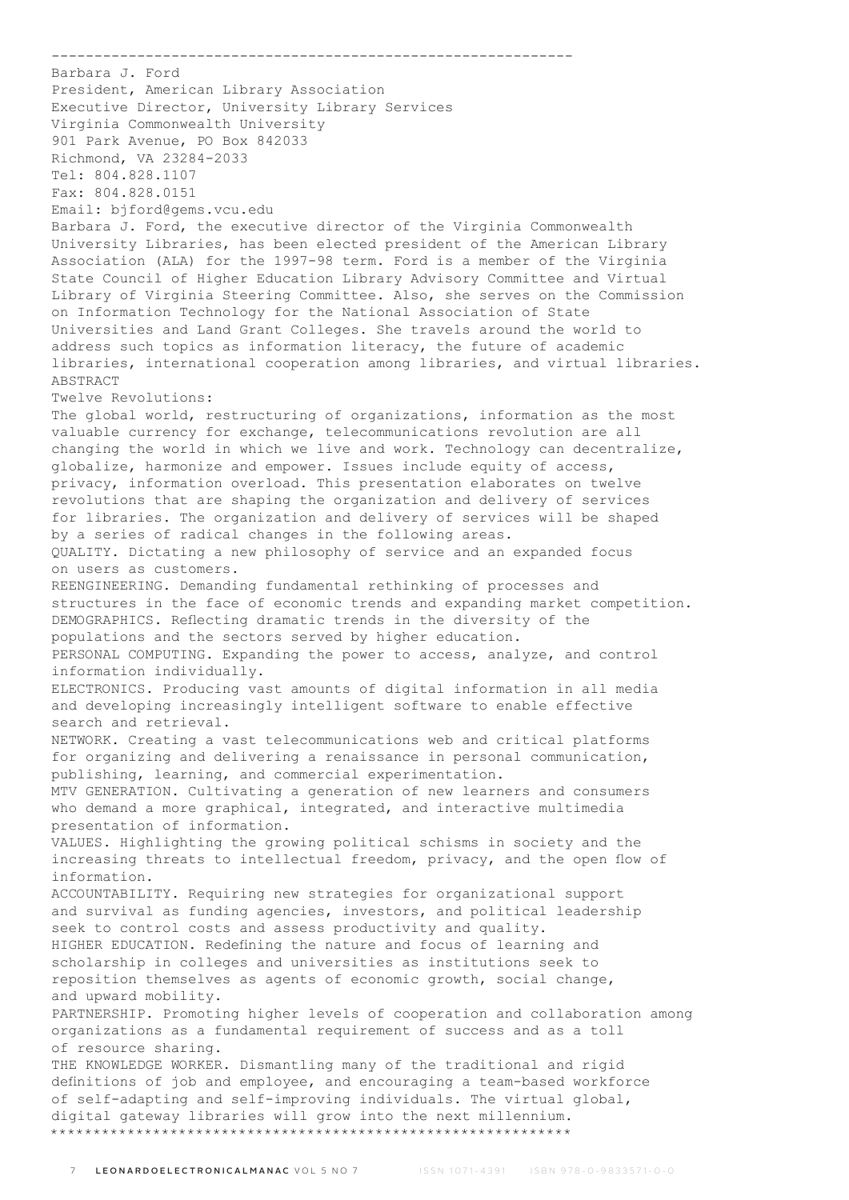Barbara J. Ford President, American Library Association Executive Director, University Library Services Virginia Commonwealth University 901 Park Avenue, PO Box 842033 Richmond, VA 23284-2033 Tel: 804.828.1107 Fax: 804.828.0151 Email: bjford@gems.vcu.edu Barbara J. Ford, the executive director of the Virginia Commonwealth University Libraries, has been elected president of the American Library Association (ALA) for the 1997-98 term. Ford is a member of the Virginia State Council of Higher Education Library Advisory Committee and Virtual Library of Virginia Steering Committee. Also, she serves on the Commission on Information Technology for the National Association of State Universities and Land Grant Colleges. She travels around the world to address such topics as information literacy, the future of academic libraries, international cooperation among libraries, and virtual libraries. ABSTRACT Twelve Revolutions: The global world, restructuring of organizations, information as the most valuable currency for exchange, telecommunications revolution are all changing the world in which we live and work. Technology can decentralize, globalize, harmonize and empower. Issues include equity of access, privacy, information overload. This presentation elaborates on twelve revolutions that are shaping the organization and delivery of services for libraries. The organization and delivery of services will be shaped by a series of radical changes in the following areas. QUALITY. Dictating a new philosophy of service and an expanded focus on users as customers. REENGINEERING. Demanding fundamental rethinking of processes and structures in the face of economic trends and expanding market competition. DEMOGRAPHICS. Reflecting dramatic trends in the diversity of the populations and the sectors served by higher education. PERSONAL COMPUTING. Expanding the power to access, analyze, and control information individually. ELECTRONICS. Producing vast amounts of digital information in all media and developing increasingly intelligent software to enable effective search and retrieval. NETWORK. Creating a vast telecommunications web and critical platforms for organizing and delivering a renaissance in personal communication, publishing, learning, and commercial experimentation. MTV GENERATION. Cultivating a generation of new learners and consumers who demand a more graphical, integrated, and interactive multimedia presentation of information. VALUES. Highlighting the growing political schisms in society and the increasing threats to intellectual freedom, privacy, and the open flow of information. ACCOUNTABILITY. Requiring new strategies for organizational support and survival as funding agencies, investors, and political leadership seek to control costs and assess productivity and quality. HIGHER EDUCATION. Redefining the nature and focus of learning and scholarship in colleges and universities as institutions seek to reposition themselves as agents of economic growth, social change, and upward mobility. PARTNERSHIP. Promoting higher levels of cooperation and collaboration among organizations as a fundamental requirement of success and as a toll of resource sharing. THE KNOWLEDGE WORKER. Dismantling many of the traditional and rigid definitions of job and employee, and encouraging a team-based workforce of self-adapting and self-improving individuals. The virtual global, digital gateway libraries will grow into the next millennium.

-------------------------------------------------------------

\*\*\*\*\*\*\*\*\*\*\*\*\*\*\*\*\*\*\*\*\*\*\*\*\*\*\*\*\*\*\*\*\*\*\*\*\*\*\*\*\*\*\*\*\*\*\*\*\*\*\*\*\*\*\*\*\*\*\*\*\*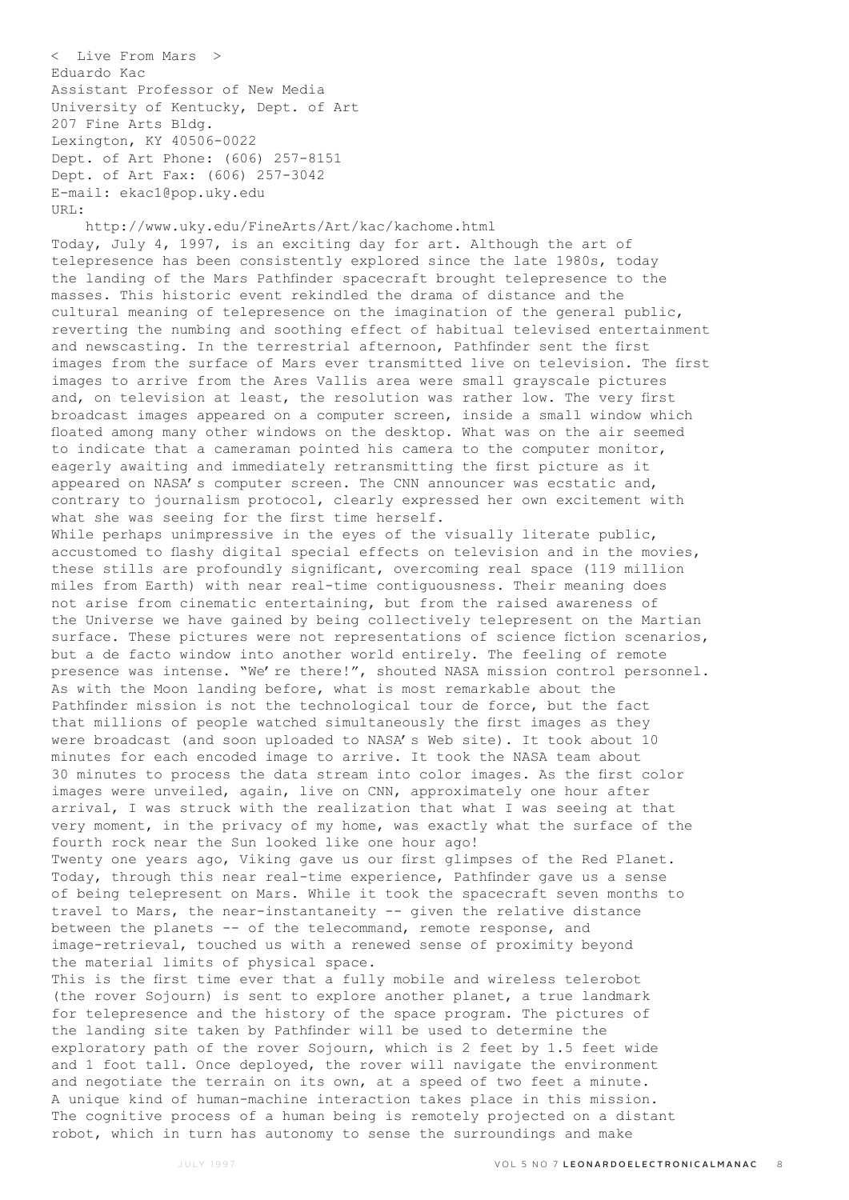< Live From Mars > Eduardo Kac Assistant Professor of New Media University of Kentucky, Dept. of Art 207 Fine Arts Bldg. Lexington, KY 40506-0022 Dept. of Art Phone: (606) 257-8151 Dept. of Art Fax: (606) 257-3042 E-mail: ekac1@pop.uky.edu URL:

 http://www.uky.edu/FineArts/Art/kac/kachome.html Today, July 4, 1997, is an exciting day for art. Although the art of telepresence has been consistently explored since the late 1980s, today the landing of the Mars Pathfinder spacecraft brought telepresence to the masses. This historic event rekindled the drama of distance and the cultural meaning of telepresence on the imagination of the general public, reverting the numbing and soothing effect of habitual televised entertainment and newscasting. In the terrestrial afternoon, Pathfinder sent the first images from the surface of Mars ever transmitted live on television. The first images to arrive from the Ares Vallis area were small grayscale pictures and, on television at least, the resolution was rather low. The very first broadcast images appeared on a computer screen, inside a small window which floated among many other windows on the desktop. What was on the air seemed to indicate that a cameraman pointed his camera to the computer monitor, eagerly awaiting and immediately retransmitting the first picture as it appeared on NASA's computer screen. The CNN announcer was ecstatic and, contrary to journalism protocol, clearly expressed her own excitement with what she was seeing for the first time herself. While perhaps unimpressive in the eyes of the visually literate public, accustomed to flashy digital special effects on television and in the movies, these stills are profoundly significant, overcoming real space (119 million miles from Earth) with near real-time contiguousness. Their meaning does not arise from cinematic entertaining, but from the raised awareness of the Universe we have gained by being collectively telepresent on the Martian surface. These pictures were not representations of science fiction scenarios, but a de facto window into another world entirely. The feeling of remote presence was intense. "We're there!", shouted NASA mission control personnel. As with the Moon landing before, what is most remarkable about the Pathfinder mission is not the technological tour de force, but the fact that millions of people watched simultaneously the first images as they were broadcast (and soon uploaded to NASA's Web site). It took about 10 minutes for each encoded image to arrive. It took the NASA team about 30 minutes to process the data stream into color images. As the first color images were unveiled, again, live on CNN, approximately one hour after arrival, I was struck with the realization that what I was seeing at that very moment, in the privacy of my home, was exactly what the surface of the fourth rock near the Sun looked like one hour ago! Twenty one years ago, Viking gave us our first glimpses of the Red Planet. Today, through this near real-time experience, Pathfinder gave us a sense of being telepresent on Mars. While it took the spacecraft seven months to travel to Mars, the near-instantaneity -- given the relative distance between the planets -- of the telecommand, remote response, and image-retrieval, touched us with a renewed sense of proximity beyond the material limits of physical space. This is the first time ever that a fully mobile and wireless telerobot (the rover Sojourn) is sent to explore another planet, a true landmark

for telepresence and the history of the space program. The pictures of the landing site taken by Pathfinder will be used to determine the exploratory path of the rover Sojourn, which is 2 feet by 1.5 feet wide and 1 foot tall. Once deployed, the rover will navigate the environment and negotiate the terrain on its own, at a speed of two feet a minute. A unique kind of human-machine interaction takes place in this mission. The cognitive process of a human being is remotely projected on a distant robot, which in turn has autonomy to sense the surroundings and make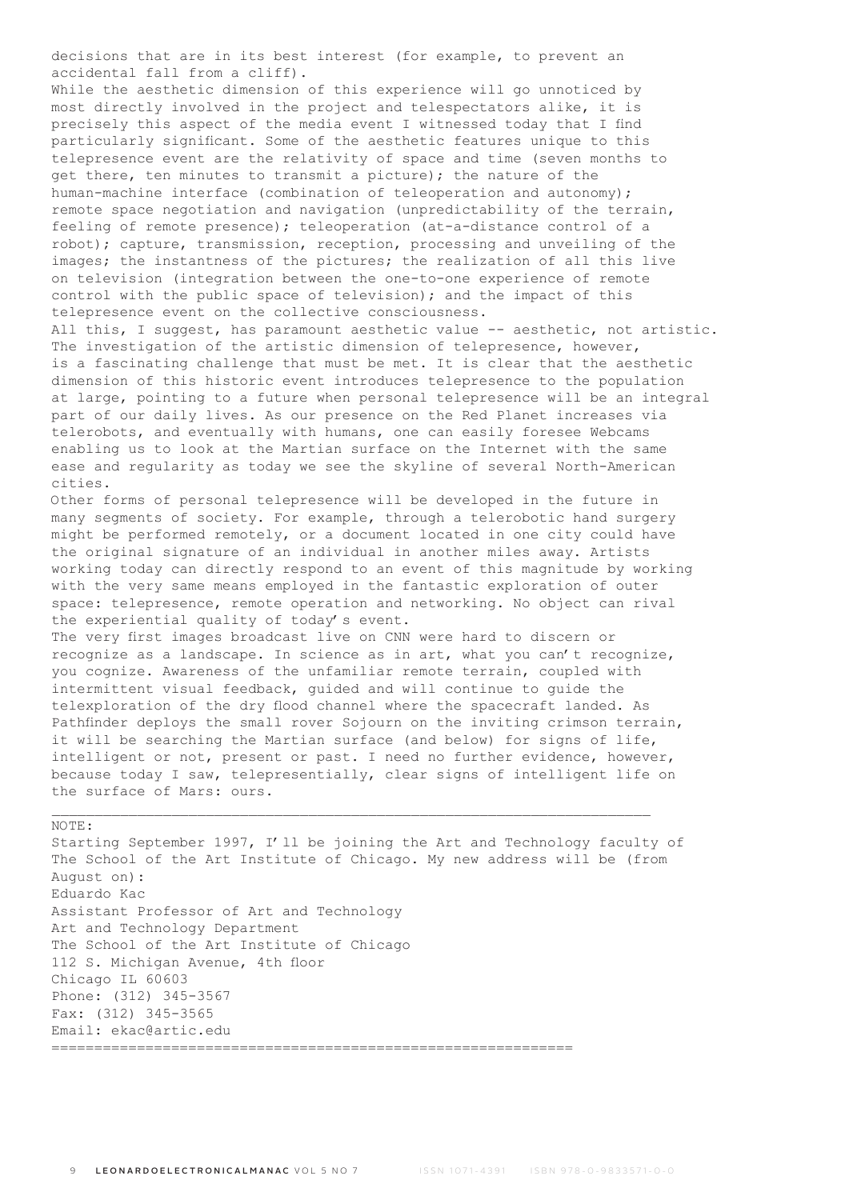decisions that are in its best interest (for example, to prevent an accidental fall from a cliff).

While the aesthetic dimension of this experience will go unnoticed by most directly involved in the project and telespectators alike, it is precisely this aspect of the media event I witnessed today that I find particularly significant. Some of the aesthetic features unique to this telepresence event are the relativity of space and time (seven months to get there, ten minutes to transmit a picture); the nature of the human-machine interface (combination of teleoperation and autonomy); remote space negotiation and navigation (unpredictability of the terrain, feeling of remote presence); teleoperation (at-a-distance control of a robot); capture, transmission, reception, processing and unveiling of the images; the instantness of the pictures; the realization of all this live on television (integration between the one-to-one experience of remote control with the public space of television); and the impact of this telepresence event on the collective consciousness.

All this, I suggest, has paramount aesthetic value -- aesthetic, not artistic. The investigation of the artistic dimension of telepresence, however, is a fascinating challenge that must be met. It is clear that the aesthetic dimension of this historic event introduces telepresence to the population at large, pointing to a future when personal telepresence will be an integral part of our daily lives. As our presence on the Red Planet increases via telerobots, and eventually with humans, one can easily foresee Webcams enabling us to look at the Martian surface on the Internet with the same ease and regularity as today we see the skyline of several North-American cities.

Other forms of personal telepresence will be developed in the future in many segments of society. For example, through a telerobotic hand surgery might be performed remotely, or a document located in one city could have the original signature of an individual in another miles away. Artists working today can directly respond to an event of this magnitude by working with the very same means employed in the fantastic exploration of outer space: telepresence, remote operation and networking. No object can rival the experiential quality of today's event.

The very first images broadcast live on CNN were hard to discern or recognize as a landscape. In science as in art, what you can't recognize, you cognize. Awareness of the unfamiliar remote terrain, coupled with intermittent visual feedback, guided and will continue to guide the telexploration of the dry flood channel where the spacecraft landed. As Pathfinder deploys the small rover Sojourn on the inviting crimson terrain, it will be searching the Martian surface (and below) for signs of life, intelligent or not, present or past. I need no further evidence, however, because today I saw, telepresentially, clear signs of intelligent life on the surface of Mars: ours.

\_\_\_\_\_\_\_\_\_\_\_\_\_\_\_\_\_\_\_\_\_\_\_\_\_\_\_\_\_\_\_\_\_\_\_\_\_\_\_\_\_\_\_\_\_\_\_\_\_\_\_\_\_\_\_\_\_\_\_\_\_\_\_\_\_\_\_\_\_\_

NOTE:

Starting September 1997, I'll be joining the Art and Technology faculty of The School of the Art Institute of Chicago. My new address will be (from August on): Eduardo Kac Assistant Professor of Art and Technology Art and Technology Department The School of the Art Institute of Chicago 112 S. Michigan Avenue, 4th floor Chicago IL 60603 Phone: (312) 345-3567 Fax: (312) 345-3565 Email: ekac@artic.edu =============================================================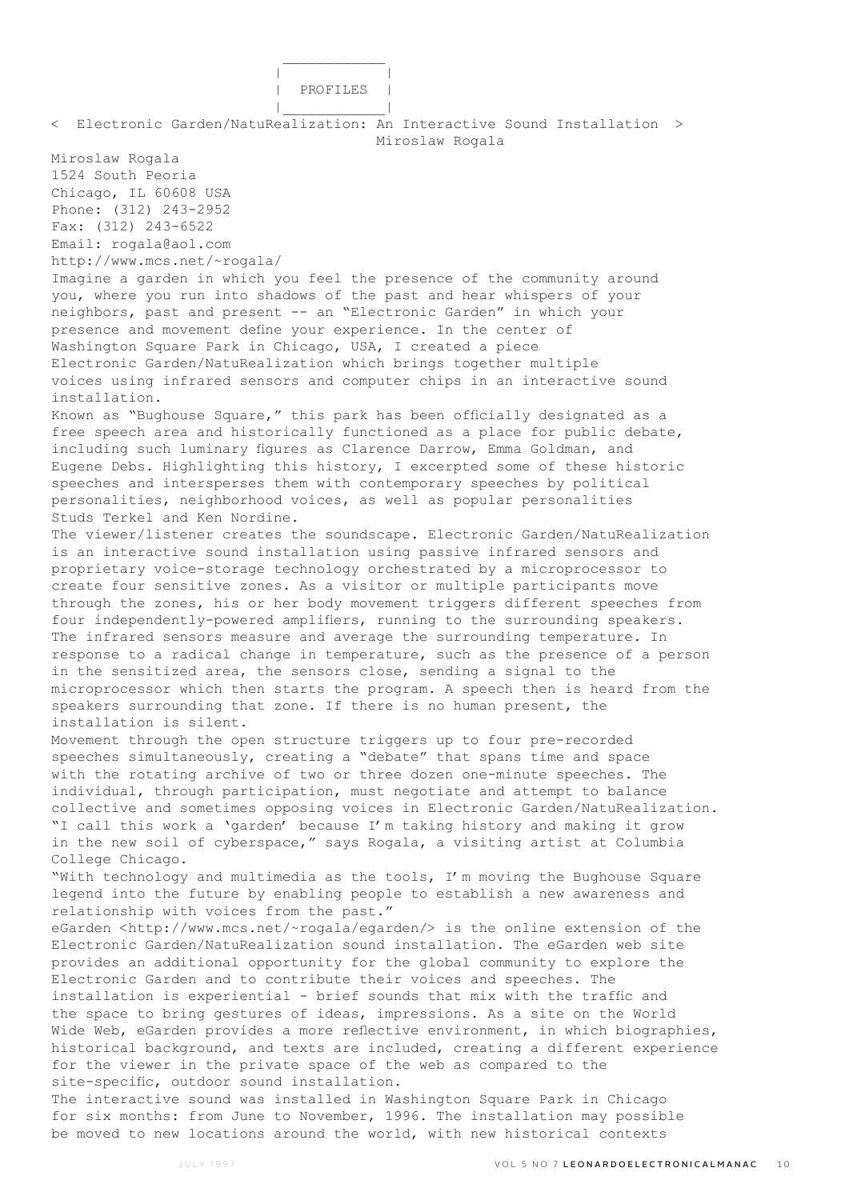| | | PROFILES | |\_\_\_\_\_\_\_\_\_\_\_\_| < Electronic Garden/NatuRealization: An Interactive Sound Installation > Miroslaw Rogala Miroslaw Rogala 1524 South Peoria Chicago, IL 60608 USA Phone: (312) 243-2952 Fax: (312) 243-6522 Email: rogala@aol.com http://www.mcs.net/~rogala/ Imagine a garden in which you feel the presence of the community around you, where you run into shadows of the past and hear whispers of your neighbors, past and present -- an "Electronic Garden" in which your presence and movement define your experience. In the center of Washington Square Park in Chicago, USA, I created a piece Electronic Garden/NatuRealization which brings together multiple voices using infrared sensors and computer chips in an interactive sound installation. Known as "Bughouse Square," this park has been officially designated as a free speech area and historically functioned as a place for public debate, including such luminary figures as Clarence Darrow, Emma Goldman, and Eugene Debs. Highlighting this history, I excerpted some of these historic speeches and intersperses them with contemporary speeches by political personalities, neighborhood voices, as well as popular personalities Studs Terkel and Ken Nordine. The viewer/listener creates the soundscape. Electronic Garden/NatuRealization is an interactive sound installation using passive infrared sensors and proprietary voice-storage technology orchestrated by a microprocessor to create four sensitive zones. As a visitor or multiple participants move through the zones, his or her body movement triggers different speeches from four independently-powered amplifiers, running to the surrounding speakers. The infrared sensors measure and average the surrounding temperature. In response to a radical change in temperature, such as the presence of a person in the sensitized area, the sensors close, sending a signal to the microprocessor which then starts the program. A speech then is heard from the speakers surrounding that zone. If there is no human present, the installation is silent. Movement through the open structure triggers up to four pre-recorded speeches simultaneously, creating a "debate" that spans time and space with the rotating archive of two or three dozen one-minute speeches. The individual, through participation, must negotiate and attempt to balance collective and sometimes opposing voices in Electronic Garden/NatuRealization. "I call this work a 'garden' because I'm taking history and making it grow in the new soil of cyberspace," says Rogala, a visiting artist at Columbia College Chicago. "With technology and multimedia as the tools, I'm moving the Bughouse Square legend into the future by enabling people to establish a new awareness and relationship with voices from the past." eGarden <http://www.mcs.net/~rogala/egarden/> is the online extension of the Electronic Garden/NatuRealization sound installation. The eGarden web site provides an additional opportunity for the global community to explore the Electronic Garden and to contribute their voices and speeches. The installation is experiential - brief sounds that mix with the traffic and the space to bring gestures of ideas, impressions. As a site on the World Wide Web, eGarden provides a more reflective environment, in which biographies, historical background, and texts are included, creating a different experience for the viewer in the private space of the web as compared to the site-specific, outdoor sound installation. The interactive sound was installed in Washington Square Park in Chicago for six months: from June to November, 1996. The installation may possible be moved to new locations around the world, with new historical contexts

 $\mathcal{L}_\text{max}$  and  $\mathcal{L}_\text{max}$  and  $\mathcal{L}_\text{max}$  and  $\mathcal{L}_\text{max}$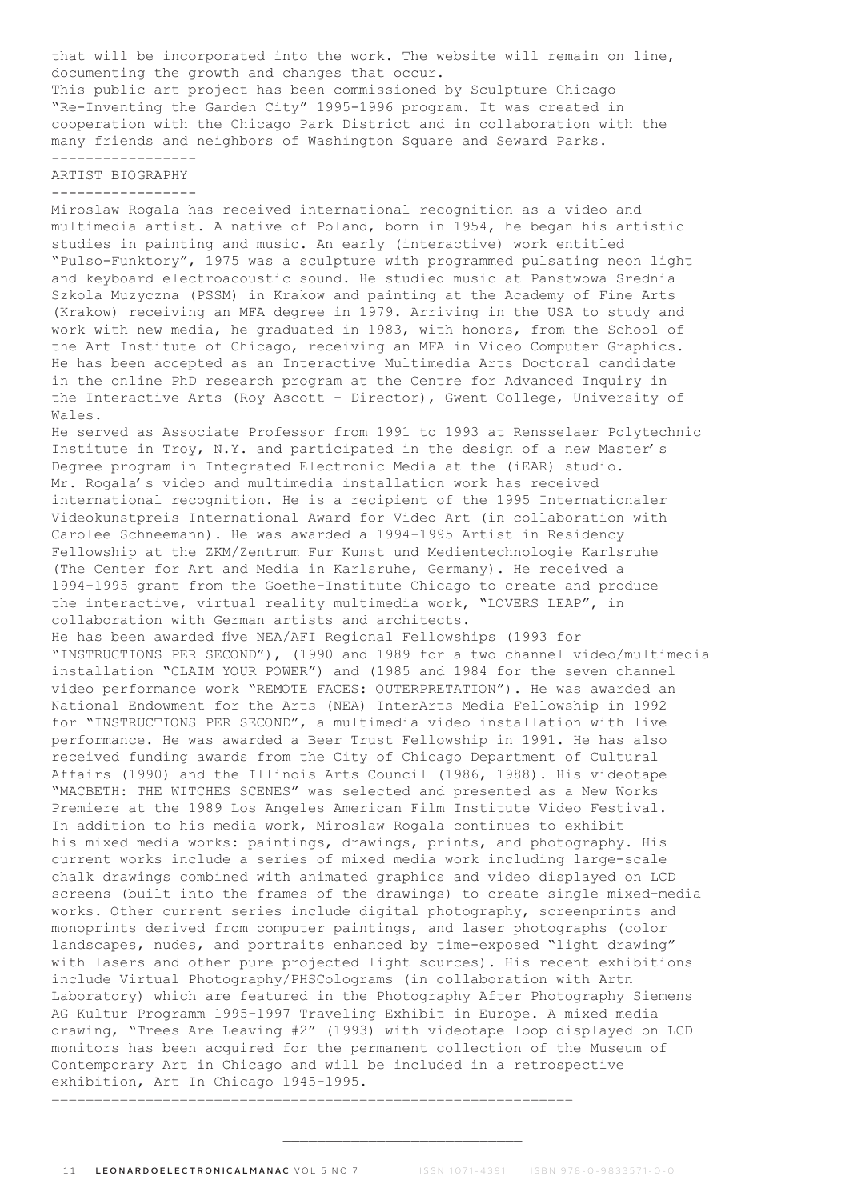that will be incorporated into the work. The website will remain on line, documenting the growth and changes that occur. This public art project has been commissioned by Sculpture Chicago "Re-Inventing the Garden City" 1995-1996 program. It was created in cooperation with the Chicago Park District and in collaboration with the many friends and neighbors of Washington Square and Seward Parks. -----------------

#### ARTIST BIOGRAPHY -----------------

Miroslaw Rogala has received international recognition as a video and multimedia artist. A native of Poland, born in 1954, he began his artistic studies in painting and music. An early (interactive) work entitled "Pulso-Funktory", 1975 was a sculpture with programmed pulsating neon light and keyboard electroacoustic sound. He studied music at Panstwowa Srednia Szkola Muzyczna (PSSM) in Krakow and painting at the Academy of Fine Arts (Krakow) receiving an MFA degree in 1979. Arriving in the USA to study and work with new media, he graduated in 1983, with honors, from the School of the Art Institute of Chicago, receiving an MFA in Video Computer Graphics. He has been accepted as an Interactive Multimedia Arts Doctoral candidate in the online PhD research program at the Centre for Advanced Inquiry in the Interactive Arts (Roy Ascott - Director), Gwent College, University of Wales.

He served as Associate Professor from 1991 to 1993 at Rensselaer Polytechnic Institute in Troy, N.Y. and participated in the design of a new Master's Degree program in Integrated Electronic Media at the (iEAR) studio. Mr. Rogala's video and multimedia installation work has received international recognition. He is a recipient of the 1995 Internationaler Videokunstpreis International Award for Video Art (in collaboration with Carolee Schneemann). He was awarded a 1994-1995 Artist in Residency Fellowship at the ZKM/Zentrum Fur Kunst und Medientechnologie Karlsruhe (The Center for Art and Media in Karlsruhe, Germany). He received a 1994-1995 grant from the Goethe-Institute Chicago to create and produce the interactive, virtual reality multimedia work, "LOVERS LEAP", in collaboration with German artists and architects.

He has been awarded five NEA/AFI Regional Fellowships (1993 for "INSTRUCTIONS PER SECOND"), (1990 and 1989 for a two channel video/multimedia installation "CLAIM YOUR POWER") and (1985 and 1984 for the seven channel video performance work "REMOTE FACES: OUTERPRETATION"). He was awarded an National Endowment for the Arts (NEA) InterArts Media Fellowship in 1992 for "INSTRUCTIONS PER SECOND", a multimedia video installation with live performance. He was awarded a Beer Trust Fellowship in 1991. He has also received funding awards from the City of Chicago Department of Cultural Affairs (1990) and the Illinois Arts Council (1986, 1988). His videotape "MACBETH: THE WITCHES SCENES" was selected and presented as a New Works Premiere at the 1989 Los Angeles American Film Institute Video Festival. In addition to his media work, Miroslaw Rogala continues to exhibit his mixed media works: paintings, drawings, prints, and photography. His current works include a series of mixed media work including large-scale chalk drawings combined with animated graphics and video displayed on LCD screens (built into the frames of the drawings) to create single mixed-media works. Other current series include digital photography, screenprints and monoprints derived from computer paintings, and laser photographs (color landscapes, nudes, and portraits enhanced by time-exposed "light drawing" with lasers and other pure projected light sources). His recent exhibitions include Virtual Photography/PHSColograms (in collaboration with Artn Laboratory) which are featured in the Photography After Photography Siemens AG Kultur Programm 1995-1997 Traveling Exhibit in Europe. A mixed media drawing, "Trees Are Leaving #2" (1993) with videotape loop displayed on LCD monitors has been acquired for the permanent collection of the Museum of Contemporary Art in Chicago and will be included in a retrospective exhibition, Art In Chicago 1945-1995.

=============================================================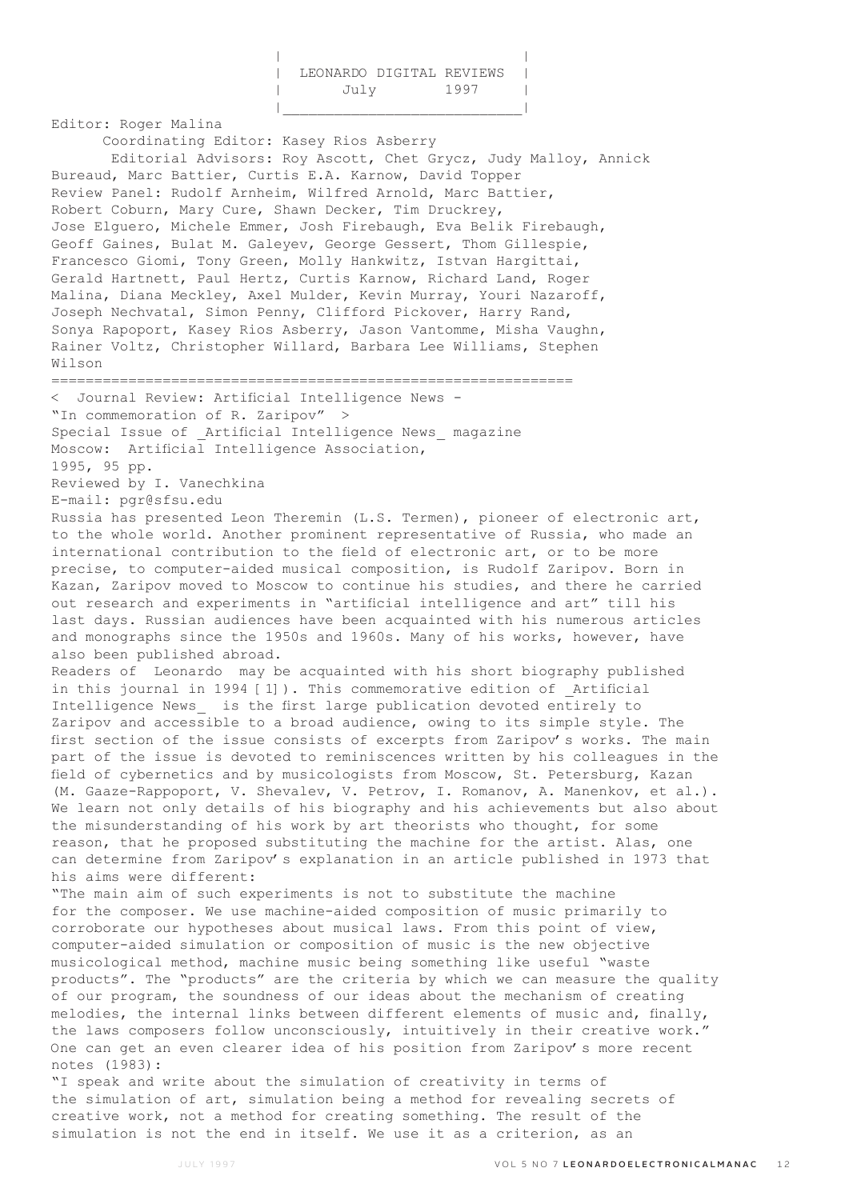| LEONARDO DIGITAL REVIEWS |      |
|--------------------------|------|
| July                     | 1997 |
|                          |      |

Editor: Roger Malina Coordinating Editor: Kasey Rios Asberry Editorial Advisors: Roy Ascott, Chet Grycz, Judy Malloy, Annick Bureaud, Marc Battier, Curtis E.A. Karnow, David Topper Review Panel: Rudolf Arnheim, Wilfred Arnold, Marc Battier, Robert Coburn, Mary Cure, Shawn Decker, Tim Druckrey, Jose Elguero, Michele Emmer, Josh Firebaugh, Eva Belik Firebaugh, Geoff Gaines, Bulat M. Galeyev, George Gessert, Thom Gillespie, Francesco Giomi, Tony Green, Molly Hankwitz, Istvan Hargittai, Gerald Hartnett, Paul Hertz, Curtis Karnow, Richard Land, Roger Malina, Diana Meckley, Axel Mulder, Kevin Murray, Youri Nazaroff, Joseph Nechvatal, Simon Penny, Clifford Pickover, Harry Rand, Sonya Rapoport, Kasey Rios Asberry, Jason Vantomme, Misha Vaughn, Rainer Voltz, Christopher Willard, Barbara Lee Williams, Stephen Wilson ============================================================= < Journal Review: Artificial Intelligence News - "In commemoration of R. Zaripov" > Special Issue of Artificial Intelligence News magazine Moscow: Artificial Intelligence Association, 1995, 95 pp. Reviewed by I. Vanechkina E-mail: pgr@sfsu.edu Russia has presented Leon Theremin (L.S. Termen), pioneer of electronic art, to the whole world. Another prominent representative of Russia, who made an international contribution to the field of electronic art, or to be more precise, to computer-aided musical composition, is Rudolf Zaripov. Born in Kazan, Zaripov moved to Moscow to continue his studies, and there he carried out research and experiments in "artificial intelligence and art" till his last days. Russian audiences have been acquainted with his numerous articles and monographs since the 1950s and 1960s. Many of his works, however, have also been published abroad. Readers of Leonardo may be acquainted with his short biography published in this journal in 1994 [1]). This commemorative edition of Artificial Intelligence News\_ is the first large publication devoted entirely to Zaripov and accessible to a broad audience, owing to its simple style. The first section of the issue consists of excerpts from Zaripov's works. The main part of the issue is devoted to reminiscences written by his colleagues in the field of cybernetics and by musicologists from Moscow, St. Petersburg, Kazan (M. Gaaze-Rappoport, V. Shevalev, V. Petrov, I. Romanov, A. Manenkov, et al.). We learn not only details of his biography and his achievements but also about the misunderstanding of his work by art theorists who thought, for some reason, that he proposed substituting the machine for the artist. Alas, one can determine from Zaripov's explanation in an article published in 1973 that his aims were different: "The main aim of such experiments is not to substitute the machine for the composer. We use machine-aided composition of music primarily to corroborate our hypotheses about musical laws. From this point of view, computer-aided simulation or composition of music is the new objective musicological method, machine music being something like useful "waste products". The "products" are the criteria by which we can measure the quality of our program, the soundness of our ideas about the mechanism of creating melodies, the internal links between different elements of music and, finally, the laws composers follow unconsciously, intuitively in their creative work." One can get an even clearer idea of his position from Zaripov's more recent notes (1983): "I speak and write about the simulation of creativity in terms of the simulation of art, simulation being a method for revealing secrets of

creative work, not a method for creating something. The result of the simulation is not the end in itself. We use it as a criterion, as an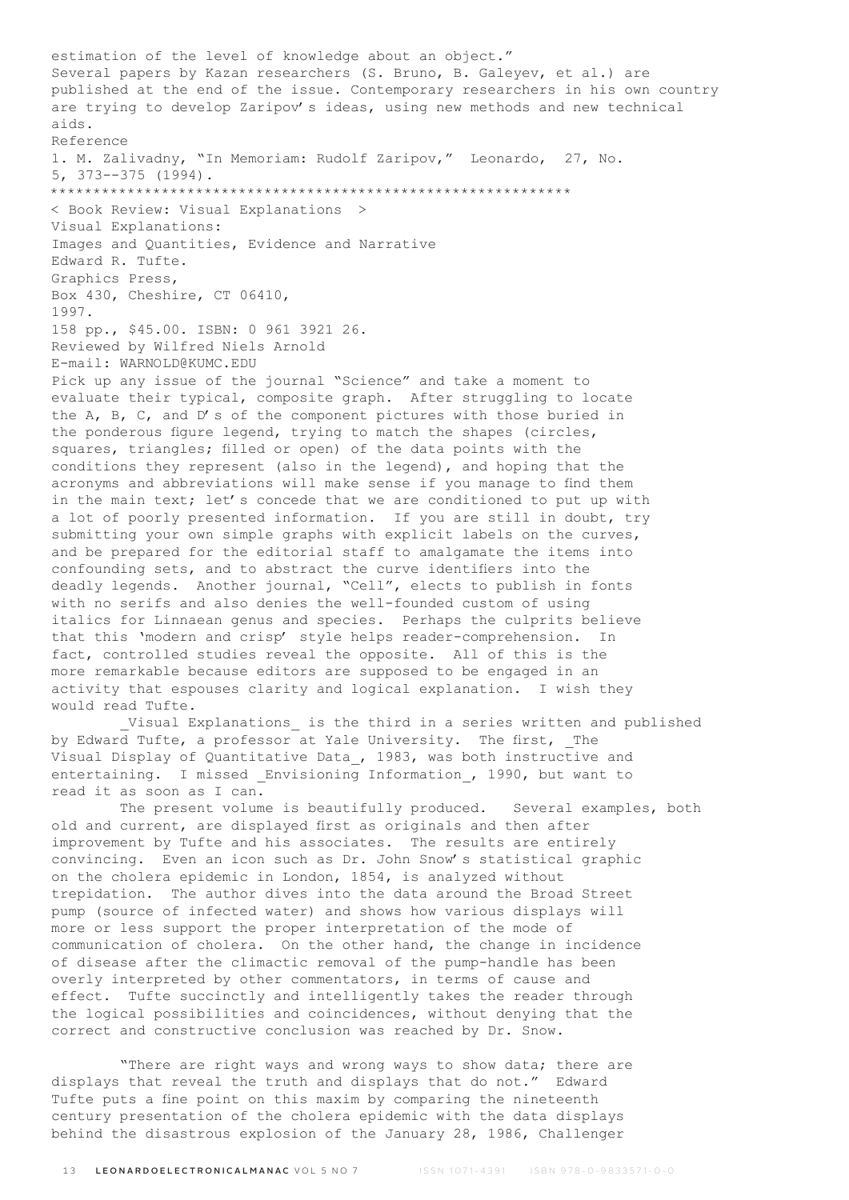estimation of the level of knowledge about an object." Several papers by Kazan researchers (S. Bruno, B. Galeyev, et al.) are published at the end of the issue. Contemporary researchers in his own country are trying to develop Zaripov's ideas, using new methods and new technical aids. Reference 1. M. Zalivadny, "In Memoriam: Rudolf Zaripov," Leonardo, 27, No. 5, 373--375 (1994). \*\*\*\*\*\*\*\*\*\*\*\*\*\*\*\*\*\*\*\*\*\*\*\*\*\*\*\*\*\*\*\*\*\*\*\*\*\*\*\*\*\*\*\*\*\*\*\*\*\*\*\*\*\*\*\*\*\*\*\*\* < Book Review: Visual Explanations > Visual Explanations: Images and Quantities, Evidence and Narrative Edward R. Tufte. Graphics Press, Box 430, Cheshire, CT 06410, 1997. 158 pp., \$45.00. ISBN: 0 961 3921 26. Reviewed by Wilfred Niels Arnold E-mail: WARNOLD@KUMC.EDU Pick up any issue of the journal "Science" and take a moment to evaluate their typical, composite graph. After struggling to locate the A, B, C, and D's of the component pictures with those buried in the ponderous figure legend, trying to match the shapes (circles, squares, triangles; filled or open) of the data points with the conditions they represent (also in the legend), and hoping that the acronyms and abbreviations will make sense if you manage to find them in the main text; let's concede that we are conditioned to put up with a lot of poorly presented information. If you are still in doubt, try submitting your own simple graphs with explicit labels on the curves, and be prepared for the editorial staff to amalgamate the items into confounding sets, and to abstract the curve identifiers into the deadly legends. Another journal, "Cell", elects to publish in fonts with no serifs and also denies the well-founded custom of using italics for Linnaean genus and species. Perhaps the culprits believe that this 'modern and crisp' style helps reader-comprehension. In fact, controlled studies reveal the opposite. All of this is the more remarkable because editors are supposed to be engaged in an activity that espouses clarity and logical explanation. I wish they would read Tufte. Visual Explanations is the third in a series written and published by Edward Tufte, a professor at Yale University. The first, The Visual Display of Quantitative Data\_, 1983, was both instructive and

entertaining. I missed Envisioning Information, 1990, but want to read it as soon as I can. The present volume is beautifully produced. Several examples, both old and current, are displayed first as originals and then after improvement by Tufte and his associates. The results are entirely convincing. Even an icon such as Dr. John Snow's statistical graphic on the cholera epidemic in London, 1854, is analyzed without trepidation. The author dives into the data around the Broad Street pump (source of infected water) and shows how various displays will more or less support the proper interpretation of the mode of communication of cholera. On the other hand, the change in incidence of disease after the climactic removal of the pump-handle has been overly interpreted by other commentators, in terms of cause and effect. Tufte succinctly and intelligently takes the reader through the logical possibilities and coincidences, without denying that the

"There are right ways and wrong ways to show data; there are displays that reveal the truth and displays that do not." Edward Tufte puts a fine point on this maxim by comparing the nineteenth century presentation of the cholera epidemic with the data displays behind the disastrous explosion of the January 28, 1986, Challenger

correct and constructive conclusion was reached by Dr. Snow.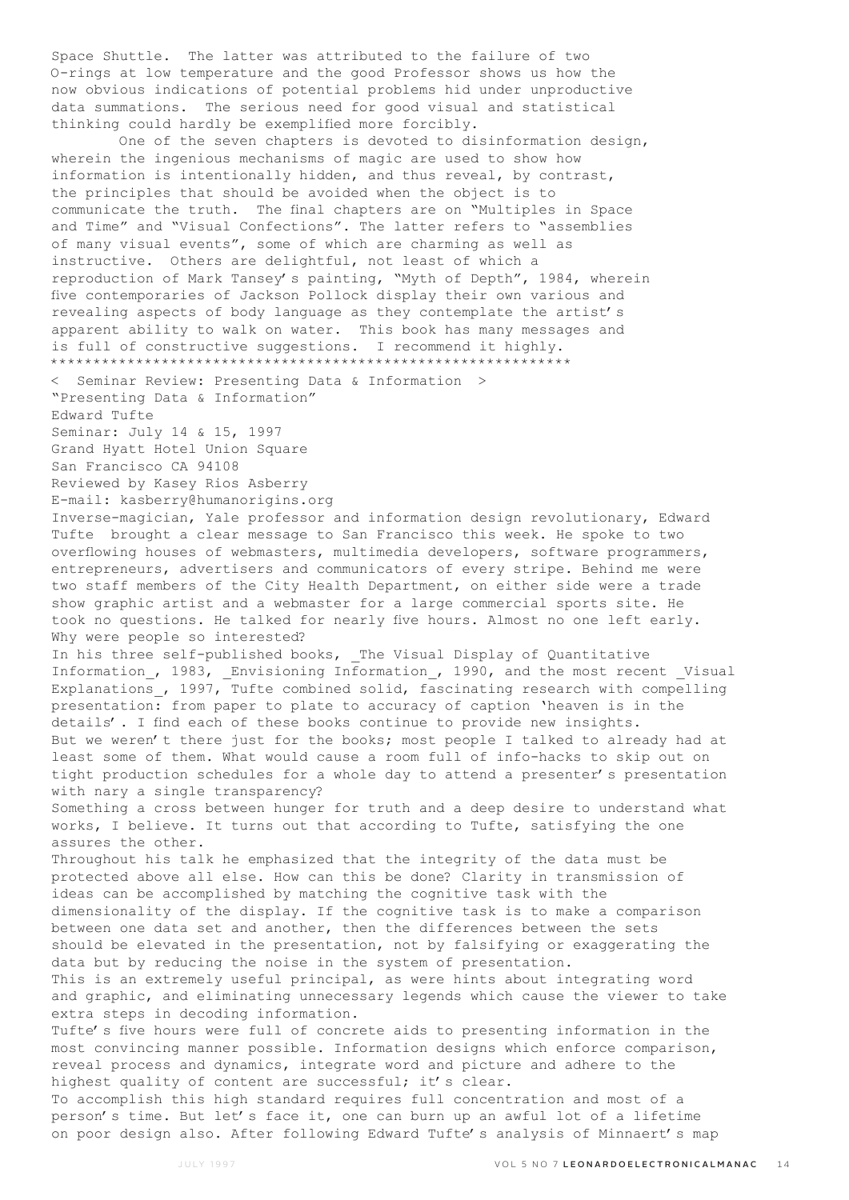Space Shuttle. The latter was attributed to the failure of two O-rings at low temperature and the good Professor shows us how the now obvious indications of potential problems hid under unproductive data summations. The serious need for good visual and statistical thinking could hardly be exemplified more forcibly.

 One of the seven chapters is devoted to disinformation design, wherein the ingenious mechanisms of magic are used to show how information is intentionally hidden, and thus reveal, by contrast, the principles that should be avoided when the object is to communicate the truth. The final chapters are on "Multiples in Space and Time" and "Visual Confections". The latter refers to "assemblies of many visual events", some of which are charming as well as instructive. Others are delightful, not least of which a reproduction of Mark Tansey's painting, "Myth of Depth", 1984, wherein five contemporaries of Jackson Pollock display their own various and revealing aspects of body language as they contemplate the artist's apparent ability to walk on water. This book has many messages and is full of constructive suggestions. I recommend it highly. \*\*\*\*\*\*\*\*\*\*\*\*\*\*\*\*\*\*\*\*\*\*\*\*\*\*\*\*\*\*\*\*\*\*\*\*\*\*\*\*\*\*\*\*\*\*\*\*\*\*\*\*\*\*\*\*\*\*\*\*\*

< Seminar Review: Presenting Data & Information > "Presenting Data & Information" Edward Tufte

Seminar: July 14 & 15, 1997 Grand Hyatt Hotel Union Square

San Francisco CA 94108

Reviewed by Kasey Rios Asberry

E-mail: kasberry@humanorigins.org

Inverse-magician, Yale professor and information design revolutionary, Edward Tufte brought a clear message to San Francisco this week. He spoke to two overflowing houses of webmasters, multimedia developers, software programmers, entrepreneurs, advertisers and communicators of every stripe. Behind me were two staff members of the City Health Department, on either side were a trade show graphic artist and a webmaster for a large commercial sports site. He took no questions. He talked for nearly five hours. Almost no one left early. Why were people so interested?

In his three self-published books, The Visual Display of Quantitative Information\_, 1983, \_Envisioning Information\_, 1990, and the most recent \_Visual Explanations, 1997, Tufte combined solid, fascinating research with compelling presentation: from paper to plate to accuracy of caption 'heaven is in the details'. I find each of these books continue to provide new insights. But we weren't there just for the books; most people I talked to already had at least some of them. What would cause a room full of info-hacks to skip out on tight production schedules for a whole day to attend a presenter's presentation with nary a single transparency?

Something a cross between hunger for truth and a deep desire to understand what works, I believe. It turns out that according to Tufte, satisfying the one assures the other.

Throughout his talk he emphasized that the integrity of the data must be protected above all else. How can this be done? Clarity in transmission of ideas can be accomplished by matching the cognitive task with the dimensionality of the display. If the cognitive task is to make a comparison between one data set and another, then the differences between the sets should be elevated in the presentation, not by falsifying or exaggerating the data but by reducing the noise in the system of presentation.

This is an extremely useful principal, as were hints about integrating word and graphic, and eliminating unnecessary legends which cause the viewer to take extra steps in decoding information.

Tufte's five hours were full of concrete aids to presenting information in the most convincing manner possible. Information designs which enforce comparison, reveal process and dynamics, integrate word and picture and adhere to the highest quality of content are successful; it's clear.

To accomplish this high standard requires full concentration and most of a person's time. But let's face it, one can burn up an awful lot of a lifetime on poor design also. After following Edward Tufte's analysis of Minnaert's map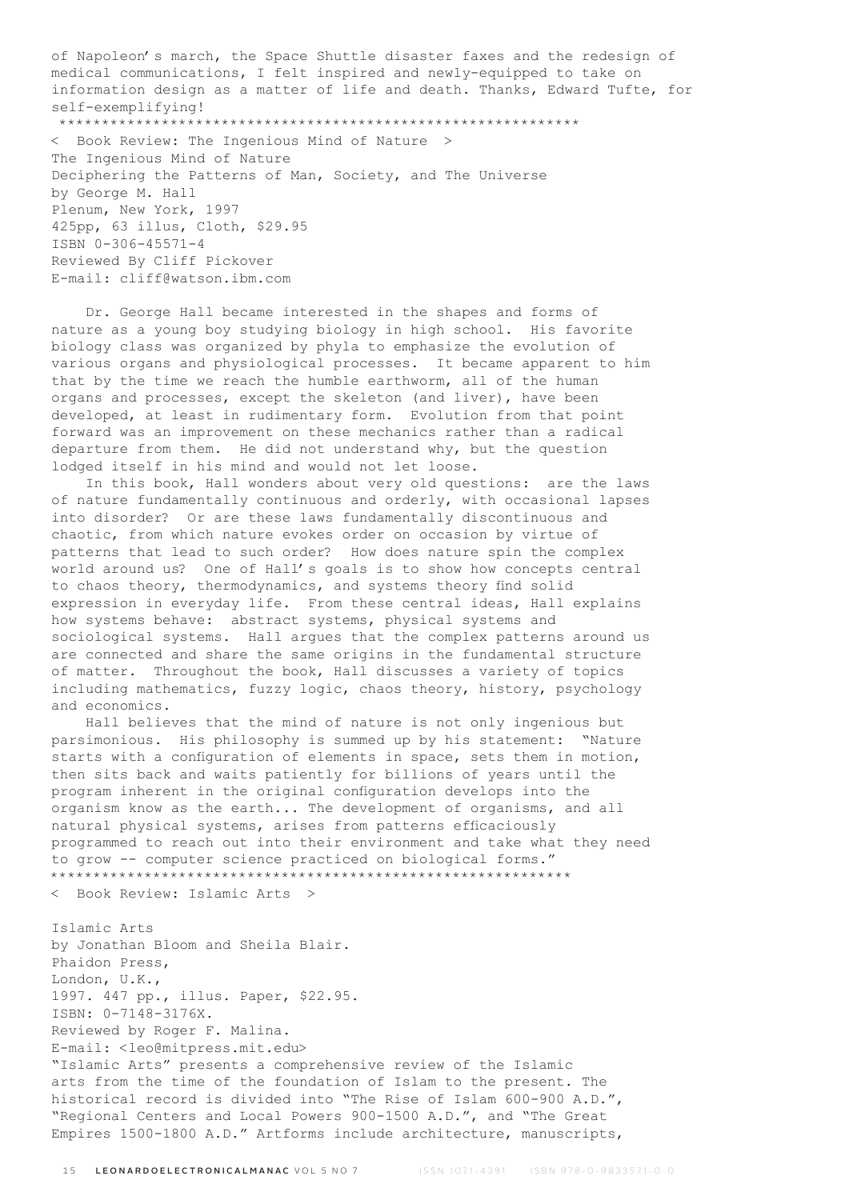of Napoleon's march, the Space Shuttle disaster faxes and the redesign of medical communications, I felt inspired and newly-equipped to take on information design as a matter of life and death. Thanks, Edward Tufte, for self-exemplifying! \*\*\*\*\*\*\*\*\*\*\*\*\*\*\*\*\*\*\*\*\*\*\*\*\*\*\*\*\*\*\*\*\*\*\*\*\*\*\*\*\*\*\*\*\*\*\*\*\*\*\*\*\*\*\*\*\*\*\*\*\*

< Book Review: The Ingenious Mind of Nature > The Ingenious Mind of Nature Deciphering the Patterns of Man, Society, and The Universe by George M. Hall Plenum, New York, 1997 425pp, 63 illus, Cloth, \$29.95 ISBN 0-306-45571-4 Reviewed By Cliff Pickover E-mail: cliff@watson.ibm.com

 Dr. George Hall became interested in the shapes and forms of nature as a young boy studying biology in high school. His favorite biology class was organized by phyla to emphasize the evolution of various organs and physiological processes. It became apparent to him that by the time we reach the humble earthworm, all of the human organs and processes, except the skeleton (and liver), have been developed, at least in rudimentary form. Evolution from that point forward was an improvement on these mechanics rather than a radical departure from them. He did not understand why, but the question lodged itself in his mind and would not let loose.

 In this book, Hall wonders about very old questions: are the laws of nature fundamentally continuous and orderly, with occasional lapses into disorder? Or are these laws fundamentally discontinuous and chaotic, from which nature evokes order on occasion by virtue of patterns that lead to such order? How does nature spin the complex world around us? One of Hall's goals is to show how concepts central to chaos theory, thermodynamics, and systems theory find solid expression in everyday life. From these central ideas, Hall explains how systems behave: abstract systems, physical systems and sociological systems. Hall argues that the complex patterns around us are connected and share the same origins in the fundamental structure of matter. Throughout the book, Hall discusses a variety of topics including mathematics, fuzzy logic, chaos theory, history, psychology and economics.

 Hall believes that the mind of nature is not only ingenious but parsimonious. His philosophy is summed up by his statement: "Nature starts with a configuration of elements in space, sets them in motion, then sits back and waits patiently for billions of years until the program inherent in the original configuration develops into the organism know as the earth... The development of organisms, and all natural physical systems, arises from patterns efficaciously programmed to reach out into their environment and take what they need to grow -- computer science practiced on biological forms." \*\*\*\*\*\*\*\*\*\*\*\*\*\*\*\*\*\*\*\*\*\*\*\*\*\*\*\*\*\*\*\*\*\*\*\*\*\*\*\*\*\*\*\*\*\*\*\*\*\*\*\*\*\*\*\*\*\*\*\*\*

< Book Review: Islamic Arts >

Islamic Arts by Jonathan Bloom and Sheila Blair. Phaidon Press, London, U.K., 1997. 447 pp., illus. Paper, \$22.95. ISBN: 0-7148-3176X. Reviewed by Roger F. Malina. E-mail: <leo@mitpress.mit.edu> "Islamic Arts" presents a comprehensive review of the Islamic arts from the time of the foundation of Islam to the present. The historical record is divided into "The Rise of Islam 600-900 A.D.", "Regional Centers and Local Powers 900-1500 A.D.", and "The Great Empires 1500-1800 A.D." Artforms include architecture, manuscripts,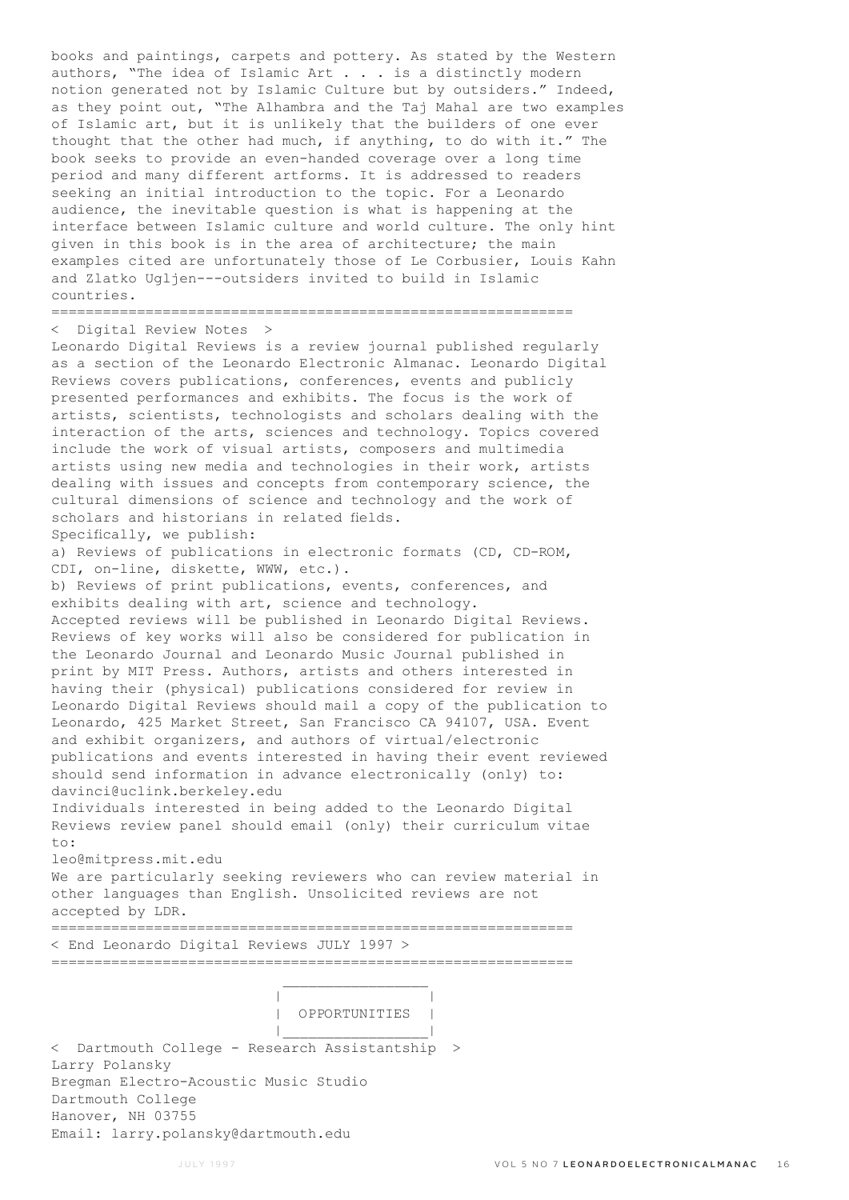books and paintings, carpets and pottery. As stated by the Western authors, "The idea of Islamic Art . . . is a distinctly modern notion generated not by Islamic Culture but by outsiders." Indeed, as they point out, "The Alhambra and the Taj Mahal are two examples of Islamic art, but it is unlikely that the builders of one ever thought that the other had much, if anything, to do with it." The book seeks to provide an even-handed coverage over a long time period and many different artforms. It is addressed to readers seeking an initial introduction to the topic. For a Leonardo audience, the inevitable question is what is happening at the interface between Islamic culture and world culture. The only hint given in this book is in the area of architecture; the main examples cited are unfortunately those of Le Corbusier, Louis Kahn and Zlatko Ugljen---outsiders invited to build in Islamic countries.

# =============================================================

< Digital Review Notes >

Leonardo Digital Reviews is a review journal published regularly as a section of the Leonardo Electronic Almanac. Leonardo Digital Reviews covers publications, conferences, events and publicly presented performances and exhibits. The focus is the work of artists, scientists, technologists and scholars dealing with the interaction of the arts, sciences and technology. Topics covered include the work of visual artists, composers and multimedia artists using new media and technologies in their work, artists dealing with issues and concepts from contemporary science, the cultural dimensions of science and technology and the work of scholars and historians in related fields. Specifically, we publish: a) Reviews of publications in electronic formats (CD, CD-ROM, CDI, on-line, diskette, WWW, etc.). b) Reviews of print publications, events, conferences, and exhibits dealing with art, science and technology. Accepted reviews will be published in Leonardo Digital Reviews. Reviews of key works will also be considered for publication in the Leonardo Journal and Leonardo Music Journal published in print by MIT Press. Authors, artists and others interested in having their (physical) publications considered for review in Leonardo Digital Reviews should mail a copy of the publication to Leonardo, 425 Market Street, San Francisco CA 94107, USA. Event and exhibit organizers, and authors of virtual/electronic

publications and events interested in having their event reviewed should send information in advance electronically (only) to: davinci@uclink.berkeley.edu

Individuals interested in being added to the Leonardo Digital Reviews review panel should email (only) their curriculum vitae to:

### leo@mitpress.mit.edu

We are particularly seeking reviewers who can review material in other languages than English. Unsolicited reviews are not accepted by LDR.

=============================================================

=============================================================

< End Leonardo Digital Reviews JULY 1997 >

| |

 | OPPORTUNITIES | |\_\_\_\_\_\_\_\_\_\_\_\_\_\_\_\_\_| < Dartmouth College - Research Assistantship > Larry Polansky Bregman Electro-Acoustic Music Studio Dartmouth College Hanover, NH 03755 Email: larry.polansky@dartmouth.edu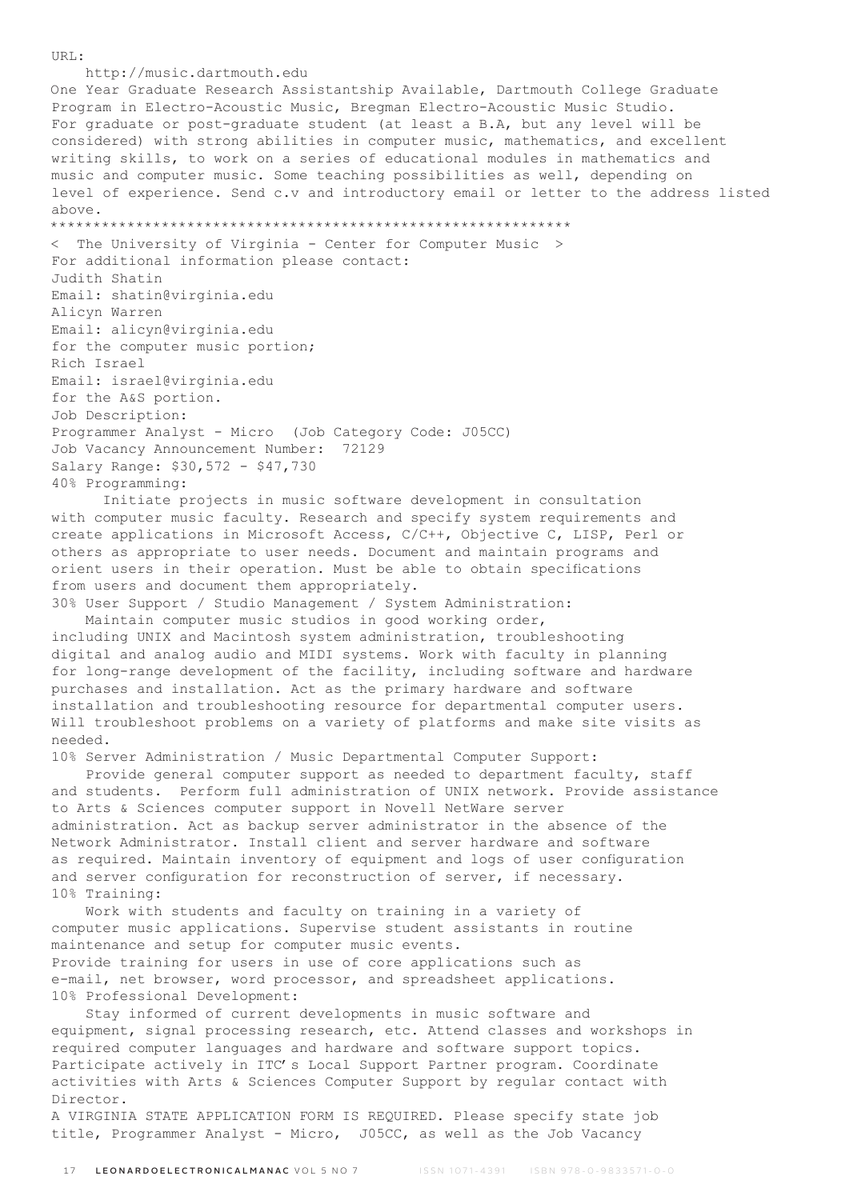URL:

http://music.dartmouth.edu

One Year Graduate Research Assistantship Available, Dartmouth College Graduate Program in Electro-Acoustic Music, Bregman Electro-Acoustic Music Studio. For graduate or post-graduate student (at least a B.A, but any level will be considered) with strong abilities in computer music, mathematics, and excellent writing skills, to work on a series of educational modules in mathematics and music and computer music. Some teaching possibilities as well, depending on level of experience. Send c.v and introductory email or letter to the address listed above.

\*\*\*\*\*\*\*\*\*\*\*\*\*\*\*\*\*\*\*\*\*\*\*\*\*\*\*\*\*\*\*\*\*\*\*\*\*\*\*\*\*\*\*\*\*\*\*\*\*\*\*\*\*\*\*\*\*\*\*\*\*

< The University of Virginia - Center for Computer Music > For additional information please contact: Judith Shatin Email: shatin@virginia.edu Alicyn Warren Email: alicyn@virginia.edu for the computer music portion; Rich Israel Email: israel@virginia.edu for the A&S portion. Job Description: Programmer Analyst - Micro (Job Category Code: J05CC) Job Vacancy Announcement Number: 72129 Salary Range: \$30,572 - \$47,730 40% Programming:

 Initiate projects in music software development in consultation with computer music faculty. Research and specify system requirements and create applications in Microsoft Access, C/C++, Objective C, LISP, Perl or others as appropriate to user needs. Document and maintain programs and orient users in their operation. Must be able to obtain specifications from users and document them appropriately.

30% User Support / Studio Management / System Administration: Maintain computer music studios in good working order, including UNIX and Macintosh system administration, troubleshooting digital and analog audio and MIDI systems. Work with faculty in planning for long-range development of the facility, including software and hardware purchases and installation. Act as the primary hardware and software installation and troubleshooting resource for departmental computer users. Will troubleshoot problems on a variety of platforms and make site visits as needed.

10% Server Administration / Music Departmental Computer Support:

 Provide general computer support as needed to department faculty, staff and students. Perform full administration of UNIX network. Provide assistance to Arts & Sciences computer support in Novell NetWare server administration. Act as backup server administrator in the absence of the Network Administrator. Install client and server hardware and software as required. Maintain inventory of equipment and logs of user configuration and server configuration for reconstruction of server, if necessary. 10% Training:

 Work with students and faculty on training in a variety of computer music applications. Supervise student assistants in routine maintenance and setup for computer music events. Provide training for users in use of core applications such as e-mail, net browser, word processor, and spreadsheet applications. 10% Professional Development:

 Stay informed of current developments in music software and equipment, signal processing research, etc. Attend classes and workshops in required computer languages and hardware and software support topics. Participate actively in ITC's Local Support Partner program. Coordinate activities with Arts & Sciences Computer Support by regular contact with Director.

A VIRGINIA STATE APPLICATION FORM IS REQUIRED. Please specify state job title, Programmer Analyst - Micro, J05CC, as well as the Job Vacancy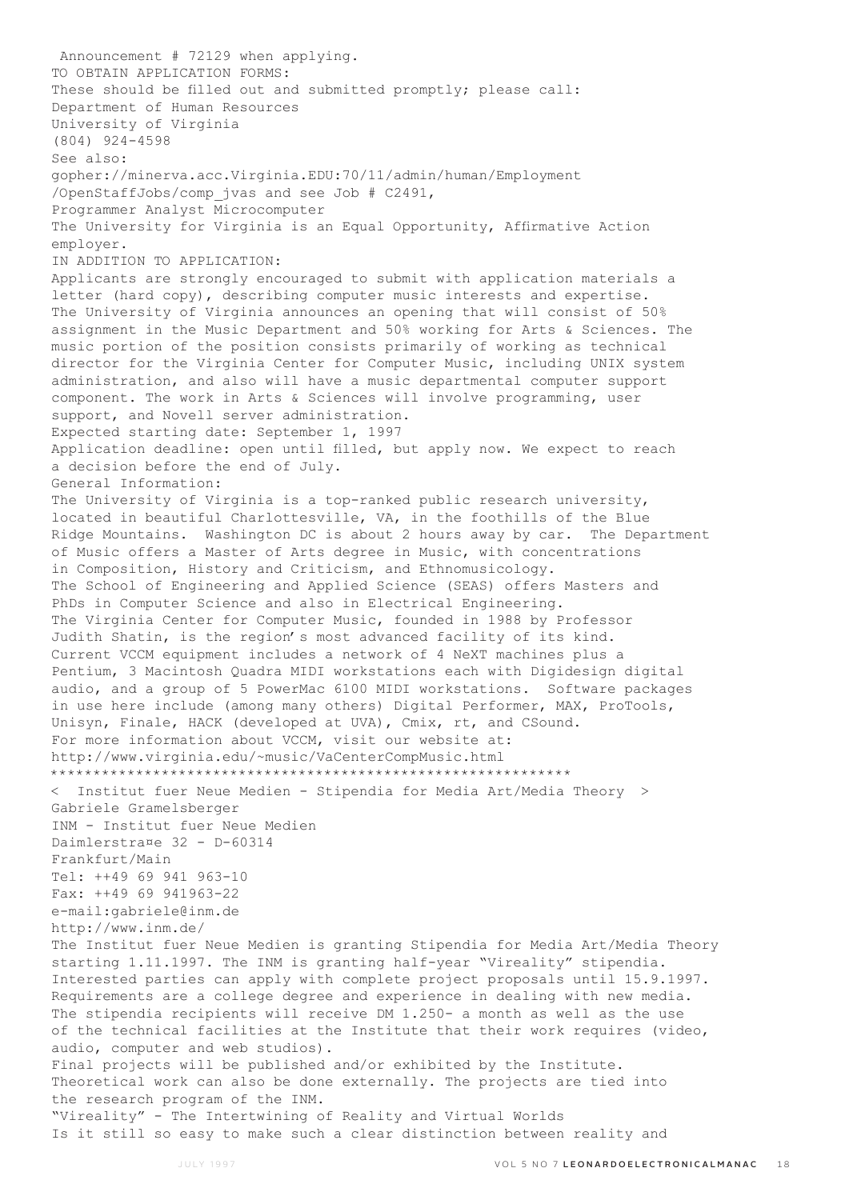Announcement # 72129 when applying. TO OBTAIN APPLICATION FORMS: These should be filled out and submitted promptly; please call: Department of Human Resources University of Virginia (804) 924-4598 See also: gopher://minerva.acc.Virginia.EDU:70/11/admin/human/Employment /OpenStaffJobs/comp\_jvas and see Job # C2491, Programmer Analyst Microcomputer The University for Virginia is an Equal Opportunity, Affirmative Action employer. IN ADDITION TO APPLICATION: Applicants are strongly encouraged to submit with application materials a letter (hard copy), describing computer music interests and expertise. The University of Virginia announces an opening that will consist of 50% assignment in the Music Department and 50% working for Arts & Sciences. The music portion of the position consists primarily of working as technical director for the Virginia Center for Computer Music, including UNIX system administration, and also will have a music departmental computer support component. The work in Arts & Sciences will involve programming, user support, and Novell server administration. Expected starting date: September 1, 1997 Application deadline: open until filled, but apply now. We expect to reach a decision before the end of July. General Information: The University of Virginia is a top-ranked public research university, located in beautiful Charlottesville, VA, in the foothills of the Blue Ridge Mountains. Washington DC is about 2 hours away by car. The Department of Music offers a Master of Arts degree in Music, with concentrations in Composition, History and Criticism, and Ethnomusicology. The School of Engineering and Applied Science (SEAS) offers Masters and PhDs in Computer Science and also in Electrical Engineering. The Virginia Center for Computer Music, founded in 1988 by Professor Judith Shatin, is the region's most advanced facility of its kind. Current VCCM equipment includes a network of 4 NeXT machines plus a Pentium, 3 Macintosh Quadra MIDI workstations each with Digidesign digital audio, and a group of 5 PowerMac 6100 MIDI workstations. Software packages in use here include (among many others) Digital Performer, MAX, ProTools, Unisyn, Finale, HACK (developed at UVA), Cmix, rt, and CSound. For more information about VCCM, visit our website at: http://www.virginia.edu/~music/VaCenterCompMusic.html \*\*\*\*\*\*\*\*\*\*\*\*\*\*\*\*\*\*\*\*\*\*\*\*\*\*\*\*\*\*\*\*\*\*\*\*\*\*\*\*\*\*\*\*\*\*\*\*\*\*\*\*\*\*\*\*\*\*\*\*\* < Institut fuer Neue Medien - Stipendia for Media Art/Media Theory > Gabriele Gramelsberger INM - Institut fuer Neue Medien Daimlerstra¤e 32 - D-60314 Frankfurt/Main Tel: ++49 69 941 963-10 Fax: ++49 69 941963-22 e-mail:gabriele@inm.de http://www.inm.de/ The Institut fuer Neue Medien is granting Stipendia for Media Art/Media Theory starting 1.11.1997. The INM is granting half-year "Vireality" stipendia. Interested parties can apply with complete project proposals until 15.9.1997. Requirements are a college degree and experience in dealing with new media. The stipendia recipients will receive DM 1.250- a month as well as the use of the technical facilities at the Institute that their work requires (video, audio, computer and web studios). Final projects will be published and/or exhibited by the Institute. Theoretical work can also be done externally. The projects are tied into the research program of the INM. "Vireality" - The Intertwining of Reality and Virtual Worlds Is it still so easy to make such a clear distinction between reality and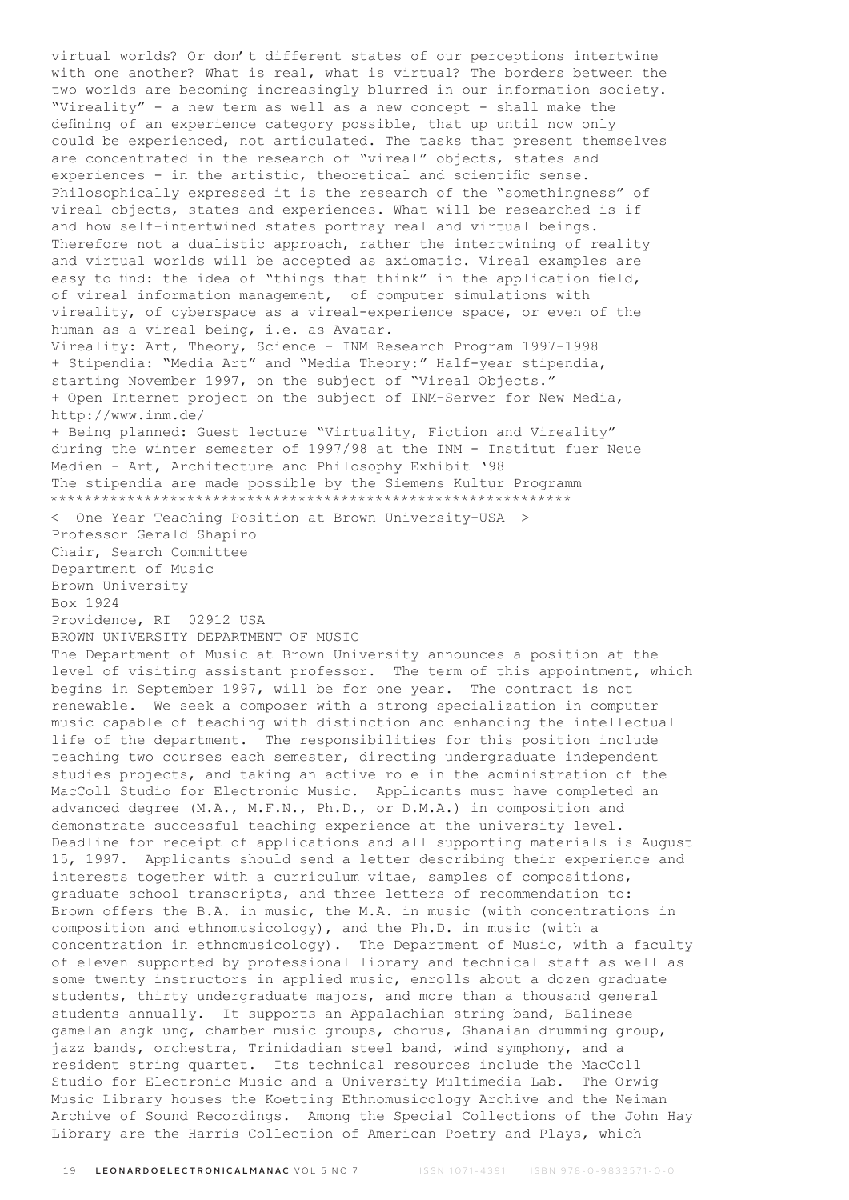virtual worlds? Or don't different states of our perceptions intertwine with one another? What is real, what is virtual? The borders between the two worlds are becoming increasingly blurred in our information society. "Vireality" - a new term as well as a new concept - shall make the defining of an experience category possible, that up until now only could be experienced, not articulated. The tasks that present themselves are concentrated in the research of "vireal" objects, states and experiences - in the artistic, theoretical and scientific sense. Philosophically expressed it is the research of the "somethingness" of vireal objects, states and experiences. What will be researched is if and how self-intertwined states portray real and virtual beings. Therefore not a dualistic approach, rather the intertwining of reality and virtual worlds will be accepted as axiomatic. Vireal examples are easy to find: the idea of "things that think" in the application field, of vireal information management, of computer simulations with vireality, of cyberspace as a vireal-experience space, or even of the human as a vireal being, i.e. as Avatar. Vireality: Art, Theory, Science - INM Research Program 1997-1998 + Stipendia: "Media Art" and "Media Theory:" Half-year stipendia, starting November 1997, on the subject of "Vireal Objects." + Open Internet project on the subject of INM-Server for New Media, http://www.inm.de/ + Being planned: Guest lecture "Virtuality, Fiction and Vireality" during the winter semester of 1997/98 at the INM - Institut fuer Neue Medien - Art, Architecture and Philosophy Exhibit '98 The stipendia are made possible by the Siemens Kultur Programm \*\*\*\*\*\*\*\*\*\*\*\*\*\*\*\*\*\*\*\*\*\*\*\*\*\*\*\*\*\*\*\*\*\*\*\*\*\*\*\*\*\*\*\*\*\*\*\*\*\*\*\*\*\*\*\*\*\*\*\*\* < One Year Teaching Position at Brown University-USA > Professor Gerald Shapiro Chair, Search Committee Department of Music Brown University Box 1924 Providence, RI 02912 USA BROWN UNIVERSITY DEPARTMENT OF MUSIC The Department of Music at Brown University announces a position at the level of visiting assistant professor. The term of this appointment, which begins in September 1997, will be for one year. The contract is not renewable. We seek a composer with a strong specialization in computer music capable of teaching with distinction and enhancing the intellectual life of the department. The responsibilities for this position include teaching two courses each semester, directing undergraduate independent studies projects, and taking an active role in the administration of the MacColl Studio for Electronic Music. Applicants must have completed an advanced degree (M.A., M.F.N., Ph.D., or D.M.A.) in composition and demonstrate successful teaching experience at the university level. Deadline for receipt of applications and all supporting materials is August 15, 1997. Applicants should send a letter describing their experience and interests together with a curriculum vitae, samples of compositions, graduate school transcripts, and three letters of recommendation to: Brown offers the B.A. in music, the M.A. in music (with concentrations in composition and ethnomusicology), and the Ph.D. in music (with a concentration in ethnomusicology). The Department of Music, with a faculty of eleven supported by professional library and technical staff as well as some twenty instructors in applied music, enrolls about a dozen graduate students, thirty undergraduate majors, and more than a thousand general students annually. It supports an Appalachian string band, Balinese gamelan angklung, chamber music groups, chorus, Ghanaian drumming group, jazz bands, orchestra, Trinidadian steel band, wind symphony, and a resident string quartet. Its technical resources include the MacColl Studio for Electronic Music and a University Multimedia Lab. The Orwig Music Library houses the Koetting Ethnomusicology Archive and the Neiman Archive of Sound Recordings. Among the Special Collections of the John Hay Library are the Harris Collection of American Poetry and Plays, which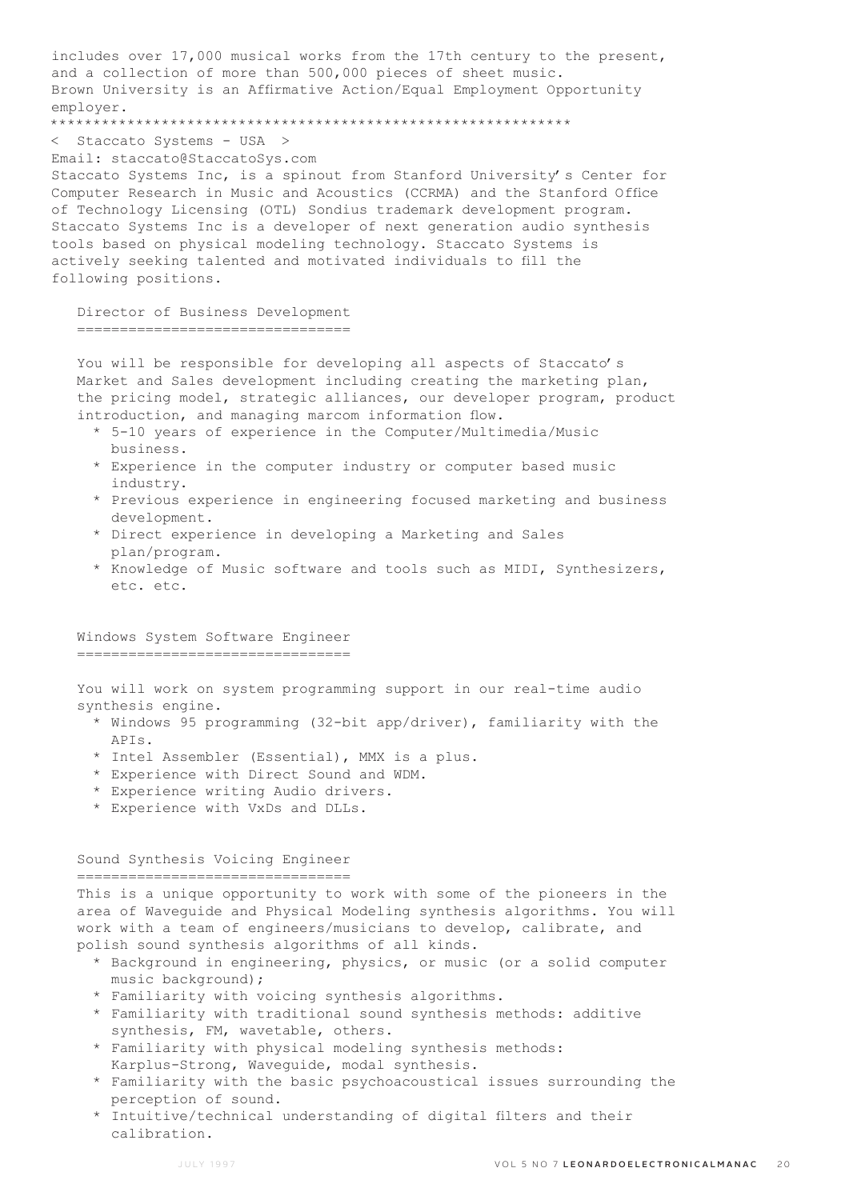includes over 17,000 musical works from the 17th century to the present, and a collection of more than 500,000 pieces of sheet music. Brown University is an Affirmative Action/Equal Employment Opportunity employer.

\*\*\*\*\*\*\*\*\*\*\*\*\*\*\*\*\*\*\*\*\*\*\*\*\*\*\*\*\*\*\*\*\*\*\*\*\*\*\*\*\*\*\*\*\*\*\*\*\*\*\*\*\*\*\*\*\*\*\*\*\*

< Staccato Systems - USA >

Email: staccato@StaccatoSys.com

Staccato Systems Inc, is a spinout from Stanford University's Center for Computer Research in Music and Acoustics (CCRMA) and the Stanford Office of Technology Licensing (OTL) Sondius trademark development program. Staccato Systems Inc is a developer of next generation audio synthesis tools based on physical modeling technology. Staccato Systems is actively seeking talented and motivated individuals to fill the following positions.

 Director of Business Development ================================

You will be responsible for developing all aspects of Staccato's Market and Sales development including creating the marketing plan, the pricing model, strategic alliances, our developer program, product introduction, and managing marcom information flow.

- \* 5-10 years of experience in the Computer/Multimedia/Music business.
- \* Experience in the computer industry or computer based music industry.
- \* Previous experience in engineering focused marketing and business development.
- \* Direct experience in developing a Marketing and Sales plan/program.
- \* Knowledge of Music software and tools such as MIDI, Synthesizers, etc. etc.

#### Windows System Software Engineer ================================

 You will work on system programming support in our real-time audio synthesis engine.

- \* Windows 95 programming (32-bit app/driver), familiarity with the APIs.
- \* Intel Assembler (Essential), MMX is a plus.
- \* Experience with Direct Sound and WDM.
- \* Experience writing Audio drivers.
- \* Experience with VxDs and DLLs.

Sound Synthesis Voicing Engineer

================================

 This is a unique opportunity to work with some of the pioneers in the area of Waveguide and Physical Modeling synthesis algorithms. You will work with a team of engineers/musicians to develop, calibrate, and polish sound synthesis algorithms of all kinds.

- \* Background in engineering, physics, or music (or a solid computer music background);
- \* Familiarity with voicing synthesis algorithms.
- \* Familiarity with traditional sound synthesis methods: additive synthesis, FM, wavetable, others.
- \* Familiarity with physical modeling synthesis methods: Karplus-Strong, Waveguide, modal synthesis.
- \* Familiarity with the basic psychoacoustical issues surrounding the perception of sound.
- \* Intuitive/technical understanding of digital filters and their calibration.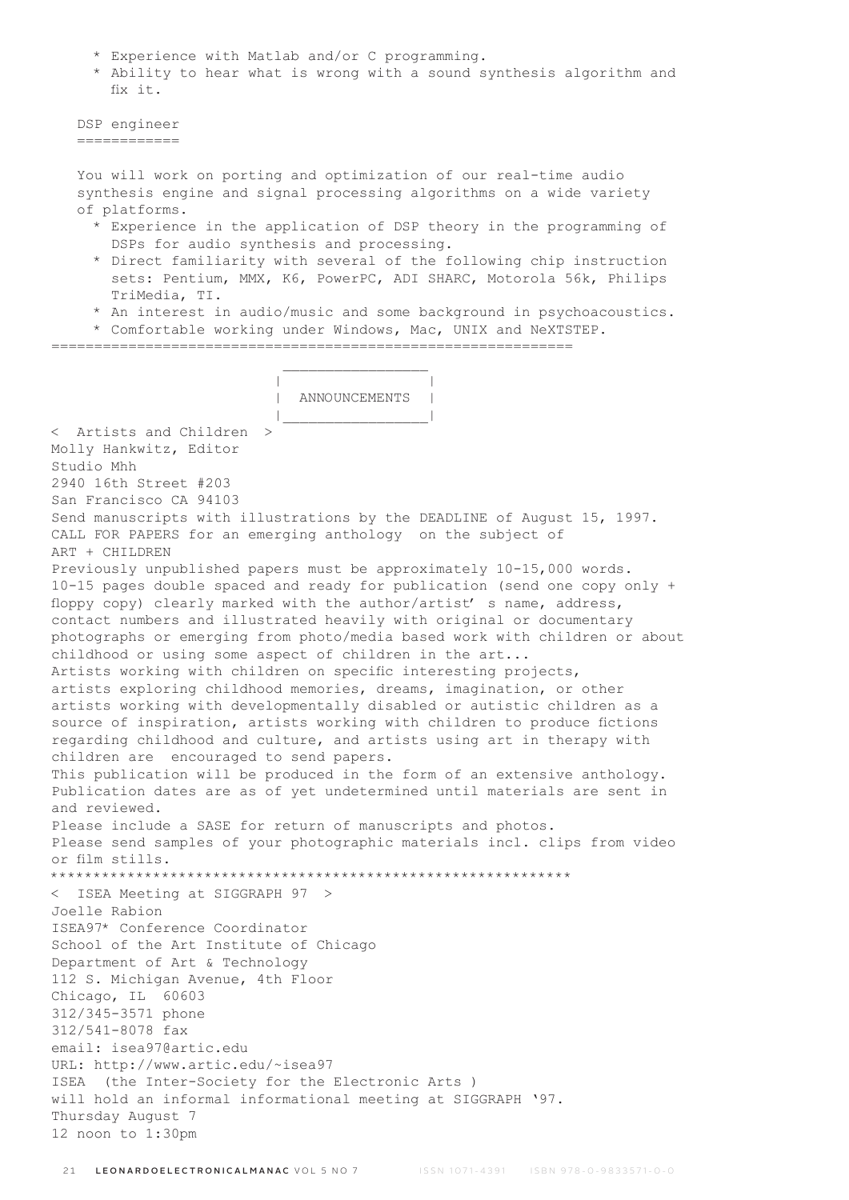- \* Experience with Matlab and/or C programming.
- \* Ability to hear what is wrong with a sound synthesis algorithm and fix it.

```
 DSP engineer 
============
```
 You will work on porting and optimization of our real-time audio synthesis engine and signal processing algorithms on a wide variety of platforms.

- \* Experience in the application of DSP theory in the programming of DSPs for audio synthesis and processing.
- \* Direct familiarity with several of the following chip instruction sets: Pentium, MMX, K6, PowerPC, ADI SHARC, Motorola 56k, Philips TriMedia, TI.
- \* An interest in audio/music and some background in psychoacoustics.
- \* Comfortable working under Windows, Mac, UNIX and NeXTSTEP.

 $\mathcal{L}_\text{max}$  and  $\mathcal{L}_\text{max}$  and  $\mathcal{L}_\text{max}$  and  $\mathcal{L}_\text{max}$ 

=============================================================

| |

 | ANNOUNCEMENTS | |\_\_\_\_\_\_\_\_\_\_\_\_\_\_\_\_\_| < Artists and Children > Molly Hankwitz, Editor Studio Mhh 2940 16th Street #203 San Francisco CA 94103 Send manuscripts with illustrations by the DEADLINE of August 15, 1997. CALL FOR PAPERS for an emerging anthology on the subject of ART + CHILDREN Previously unpublished papers must be approximately 10-15,000 words. 10-15 pages double spaced and ready for publication (send one copy only + floppy copy) clearly marked with the author/artist' s name, address, contact numbers and illustrated heavily with original or documentary photographs or emerging from photo/media based work with children or about childhood or using some aspect of children in the art... Artists working with children on specific interesting projects, artists exploring childhood memories, dreams, imagination, or other artists working with developmentally disabled or autistic children as a source of inspiration, artists working with children to produce fictions regarding childhood and culture, and artists using art in therapy with children are encouraged to send papers. This publication will be produced in the form of an extensive anthology. Publication dates are as of yet undetermined until materials are sent in and reviewed. Please include a SASE for return of manuscripts and photos. Please send samples of your photographic materials incl. clips from video or film stills. \*\*\*\*\*\*\*\*\*\*\*\*\*\*\*\*\*\*\*\*\*\*\*\*\*\*\*\*\*\*\*\*\*\*\*\*\*\*\*\*\*\*\*\*\*\*\*\*\*\*\*\*\*\*\*\*\*\*\*\*\* < ISEA Meeting at SIGGRAPH 97 > Joelle Rabion ISEA97\* Conference Coordinator School of the Art Institute of Chicago Department of Art & Technology 112 S. Michigan Avenue, 4th Floor Chicago, IL 60603 312/345-3571 phone 312/541-8078 fax email: isea97@artic.edu URL: http://www.artic.edu/~isea97 ISEA (the Inter-Society for the Electronic Arts ) will hold an informal informational meeting at SIGGRAPH '97. Thursday August 7 12 noon to 1:30pm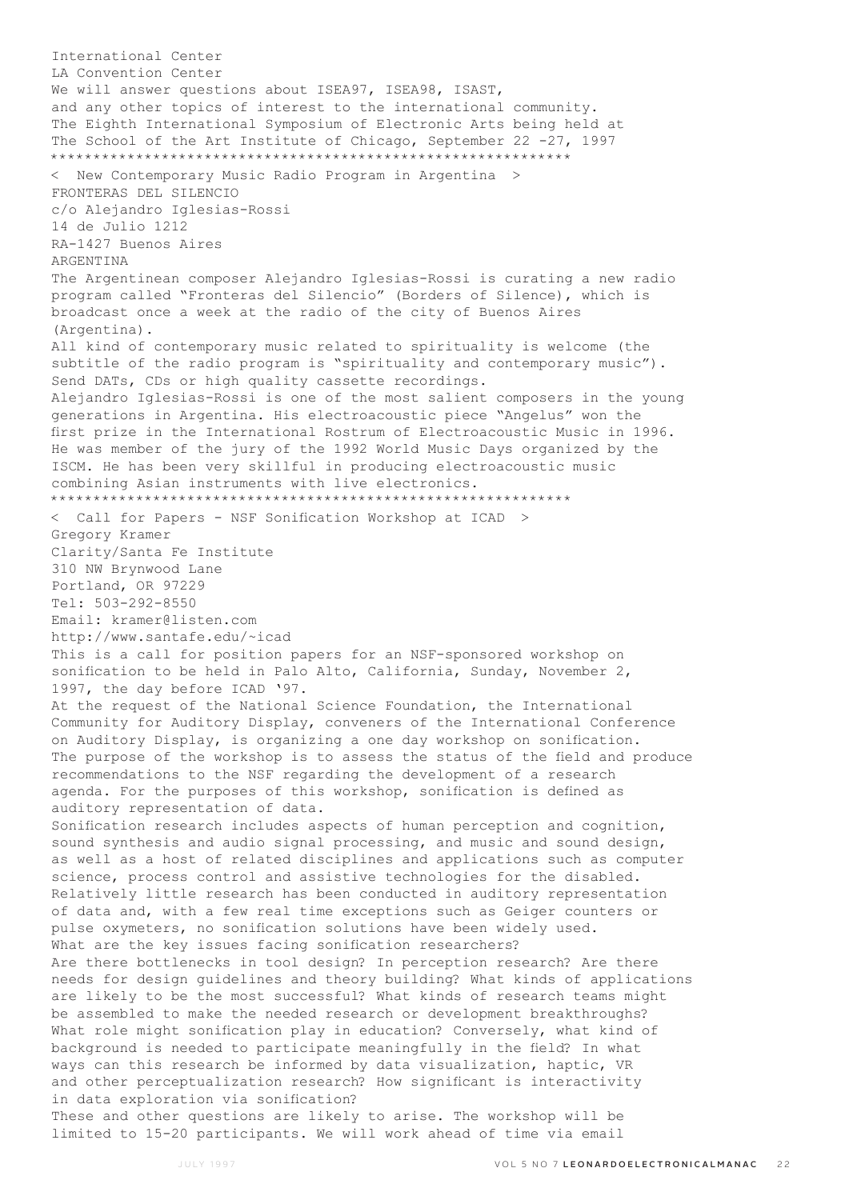International Center LA Convention Center We will answer questions about ISEA97, ISEA98, ISAST, and any other topics of interest to the international community. The Eighth International Symposium of Electronic Arts being held at The School of the Art Institute of Chicago, September 22 -27, 1997 \*\*\*\*\*\*\*\*\*\*\*\*\*\*\*\*\*\*\*\*\*\*\*\*\*\*\*\*\*\*\*\*\*\*\*\*\*\*\*\*\*\*\*\*\*\*\*\*\*\*\*\*\*\*\*\*\*\*\*\*\* < New Contemporary Music Radio Program in Argentina > FRONTERAS DEL SILENCIO c/o Alejandro Iglesias-Rossi 14 de Julio 1212 RA-1427 Buenos Aires ARGENTINA The Argentinean composer Alejandro Iglesias-Rossi is curating a new radio program called "Fronteras del Silencio" (Borders of Silence), which is broadcast once a week at the radio of the city of Buenos Aires (Argentina). All kind of contemporary music related to spirituality is welcome (the subtitle of the radio program is "spirituality and contemporary music"). Send DATs, CDs or high quality cassette recordings. Alejandro Iglesias-Rossi is one of the most salient composers in the young generations in Argentina. His electroacoustic piece "Angelus" won the first prize in the International Rostrum of Electroacoustic Music in 1996. He was member of the jury of the 1992 World Music Days organized by the ISCM. He has been very skillful in producing electroacoustic music combining Asian instruments with live electronics. \*\*\*\*\*\*\*\*\*\*\*\*\*\*\*\*\*\*\*\*\*\*\*\*\*\*\*\*\*\*\*\*\*\*\*\*\*\*\*\*\*\*\*\*\*\*\*\*\*\*\*\*\*\*\*\*\*\*\*\*\* < Call for Papers - NSF Sonification Workshop at ICAD > Gregory Kramer Clarity/Santa Fe Institute 310 NW Brynwood Lane Portland, OR 97229 Tel: 503-292-8550 Email: kramer@listen.com http://www.santafe.edu/~icad This is a call for position papers for an NSF-sponsored workshop on sonification to be held in Palo Alto, California, Sunday, November 2, 1997, the day before ICAD '97. At the request of the National Science Foundation, the International Community for Auditory Display, conveners of the International Conference on Auditory Display, is organizing a one day workshop on sonification. The purpose of the workshop is to assess the status of the field and produce recommendations to the NSF regarding the development of a research agenda. For the purposes of this workshop, sonification is defined as auditory representation of data. Sonification research includes aspects of human perception and cognition, sound synthesis and audio signal processing, and music and sound design, as well as a host of related disciplines and applications such as computer science, process control and assistive technologies for the disabled. Relatively little research has been conducted in auditory representation of data and, with a few real time exceptions such as Geiger counters or pulse oxymeters, no sonification solutions have been widely used. What are the key issues facing sonification researchers? Are there bottlenecks in tool design? In perception research? Are there needs for design guidelines and theory building? What kinds of applications are likely to be the most successful? What kinds of research teams might be assembled to make the needed research or development breakthroughs? What role might sonification play in education? Conversely, what kind of background is needed to participate meaningfully in the field? In what ways can this research be informed by data visualization, haptic, VR and other perceptualization research? How significant is interactivity in data exploration via sonification? These and other questions are likely to arise. The workshop will be limited to 15-20 participants. We will work ahead of time via email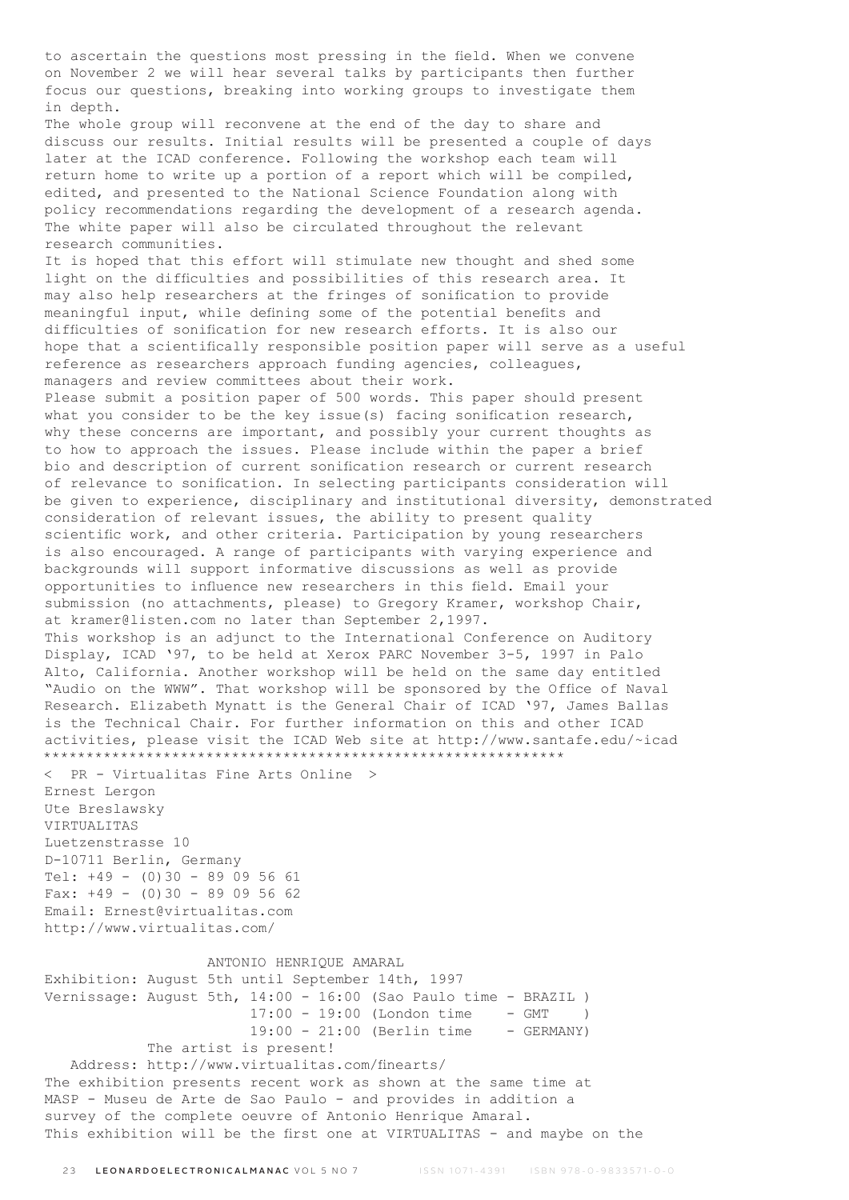to ascertain the questions most pressing in the field. When we convene on November 2 we will hear several talks by participants then further focus our questions, breaking into working groups to investigate them in depth. The whole group will reconvene at the end of the day to share and discuss our results. Initial results will be presented a couple of days later at the ICAD conference. Following the workshop each team will return home to write up a portion of a report which will be compiled, edited, and presented to the National Science Foundation along with policy recommendations regarding the development of a research agenda. The white paper will also be circulated throughout the relevant research communities. It is hoped that this effort will stimulate new thought and shed some light on the difficulties and possibilities of this research area. It may also help researchers at the fringes of sonification to provide meaningful input, while defining some of the potential benefits and difficulties of sonification for new research efforts. It is also our hope that a scientifically responsible position paper will serve as a useful reference as researchers approach funding agencies, colleagues, managers and review committees about their work. Please submit a position paper of 500 words. This paper should present what you consider to be the key issue(s) facing sonification research, why these concerns are important, and possibly your current thoughts as to how to approach the issues. Please include within the paper a brief bio and description of current sonification research or current research of relevance to sonification. In selecting participants consideration will be given to experience, disciplinary and institutional diversity, demonstrated consideration of relevant issues, the ability to present quality scientific work, and other criteria. Participation by young researchers is also encouraged. A range of participants with varying experience and backgrounds will support informative discussions as well as provide opportunities to influence new researchers in this field. Email your submission (no attachments, please) to Gregory Kramer, workshop Chair, at kramer@listen.com no later than September 2,1997. This workshop is an adjunct to the International Conference on Auditory Display, ICAD '97, to be held at Xerox PARC November 3-5, 1997 in Palo Alto, California. Another workshop will be held on the same day entitled "Audio on the WWW". That workshop will be sponsored by the Office of Naval Research. Elizabeth Mynatt is the General Chair of ICAD '97, James Ballas is the Technical Chair. For further information on this and other ICAD activities, please visit the ICAD Web site at http://www.santafe.edu/~icad \*\*\*\*\*\*\*\*\*\*\*\*\*\*\*\*\*\*\*\*\*\*\*\*\*\*\*\*\*\*\*\*\*\*\*\*\*\*\*\*\*\*\*\*\*\*\*\*\*\*\*\*\*\*\*\*\*\*\*\*\* < PR - Virtualitas Fine Arts Online > Ernest Lergon Ute Breslawsky VIRTUALITAS Luetzenstrasse 10 D-10711 Berlin, Germany Tel: +49 - (0)30 - 89 09 56 61 Fax:  $+49 - (0)30 - 89095662$ Email: Ernest@virtualitas.com http://www.virtualitas.com/ ANTONIO HENRIQUE AMARAL Exhibition: August 5th until September 14th, 1997 Vernissage: August 5th, 14:00 - 16:00 (Sao Paulo time - BRAZIL ) 17:00 - 19:00 (London time - GMT ) 19:00 - 21:00 (Berlin time - GERMANY) The artist is present! Address: http://www.virtualitas.com/finearts/ The exhibition presents recent work as shown at the same time at MASP - Museu de Arte de Sao Paulo - and provides in addition a survey of the complete oeuvre of Antonio Henrique Amaral. This exhibition will be the first one at VIRTUALITAS - and maybe on the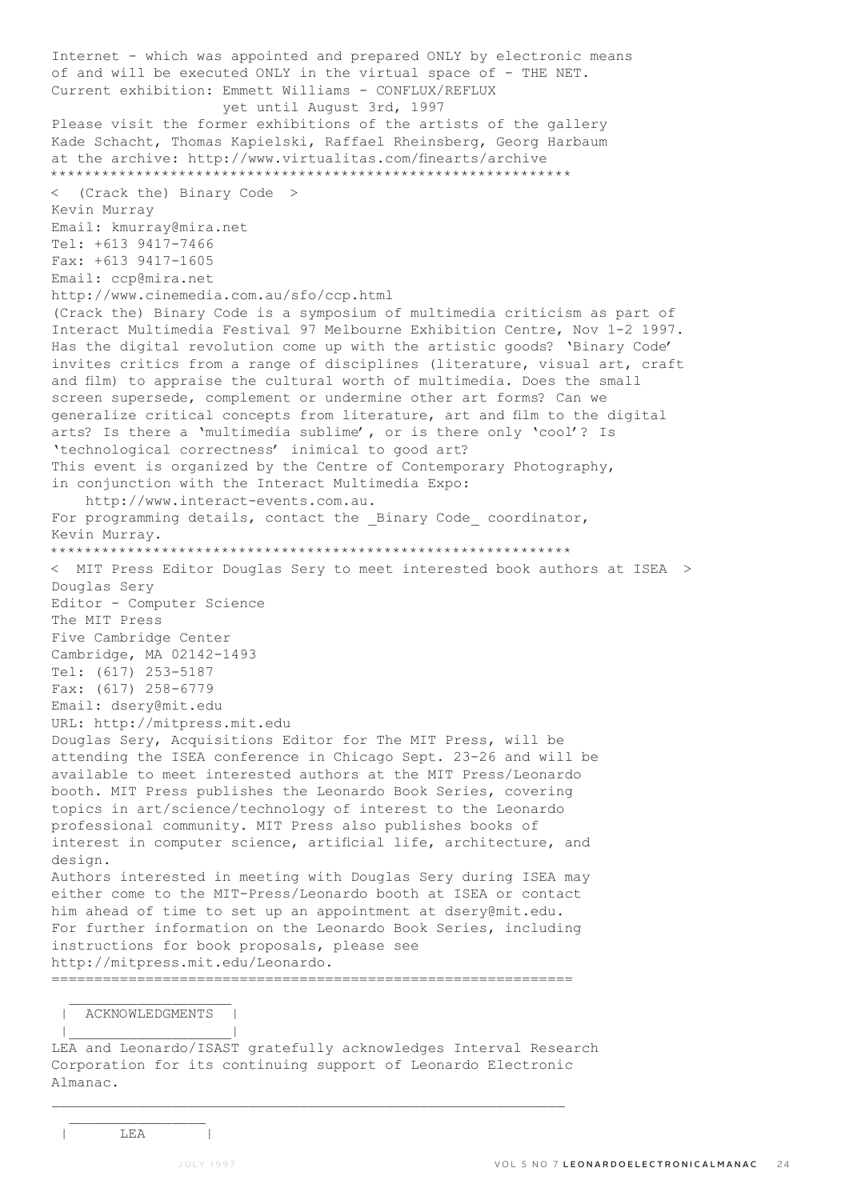Internet - which was appointed and prepared ONLY by electronic means of and will be executed ONLY in the virtual space of - THE NET. Current exhibition: Emmett Williams - CONFLUX/REFLUX yet until August 3rd, 1997 Please visit the former exhibitions of the artists of the gallery Kade Schacht, Thomas Kapielski, Raffael Rheinsberg, Georg Harbaum at the archive: http://www.virtualitas.com/finearts/archive \*\*\*\*\*\*\*\*\*\*\*\*\*\*\*\*\*\*\*\*\*\*\*\*\*\*\*\*\*\*\*\*\*\*\*\*\*\*\*\*\*\*\*\*\*\*\*\*\*\*\*\*\*\*\*\*\*\*\*\*\* < (Crack the) Binary Code > Kevin Murray Email: kmurray@mira.net Tel: +613 9417-7466 Fax: +613 9417-1605 Email: ccp@mira.net http://www.cinemedia.com.au/sfo/ccp.html (Crack the) Binary Code is a symposium of multimedia criticism as part of Interact Multimedia Festival 97 Melbourne Exhibition Centre, Nov 1-2 1997. Has the digital revolution come up with the artistic goods? 'Binary Code' invites critics from a range of disciplines (literature, visual art, craft and film) to appraise the cultural worth of multimedia. Does the small screen supersede, complement or undermine other art forms? Can we generalize critical concepts from literature, art and film to the digital arts? Is there a 'multimedia sublime', or is there only 'cool'? Is 'technological correctness' inimical to good art? This event is organized by the Centre of Contemporary Photography, in conjunction with the Interact Multimedia Expo: http://www.interact-events.com.au. For programming details, contact the Binary Code coordinator, Kevin Murray. \*\*\*\*\*\*\*\*\*\*\*\*\*\*\*\*\*\*\*\*\*\*\*\*\*\*\*\*\*\*\*\*\*\*\*\*\*\*\*\*\*\*\*\*\*\*\*\*\*\*\*\*\*\*\*\*\*\*\*\*\* < MIT Press Editor Douglas Sery to meet interested book authors at ISEA > Douglas Sery Editor - Computer Science The MIT Press Five Cambridge Center Cambridge, MA 02142-1493 Tel: (617) 253-5187 Fax: (617) 258-6779 Email: dsery@mit.edu URL: http://mitpress.mit.edu Douglas Sery, Acquisitions Editor for The MIT Press, will be attending the ISEA conference in Chicago Sept. 23-26 and will be available to meet interested authors at the MIT Press/Leonardo booth. MIT Press publishes the Leonardo Book Series, covering topics in art/science/technology of interest to the Leonardo professional community. MIT Press also publishes books of interest in computer science, artificial life, architecture, and design. Authors interested in meeting with Douglas Sery during ISEA may either come to the MIT-Press/Leonardo booth at ISEA or contact him ahead of time to set up an appointment at dsery@mit.edu. For further information on the Leonardo Book Series, including instructions for book proposals, please see http://mitpress.mit.edu/Leonardo. =============================================================

 | ACKNOWLEDGMENTS | |\_\_\_\_\_\_\_\_\_\_\_\_\_\_\_\_\_\_\_|

LEA and Leonardo/ISAST gratefully acknowledges Interval Research Corporation for its continuing support of Leonardo Electronic Almanac.